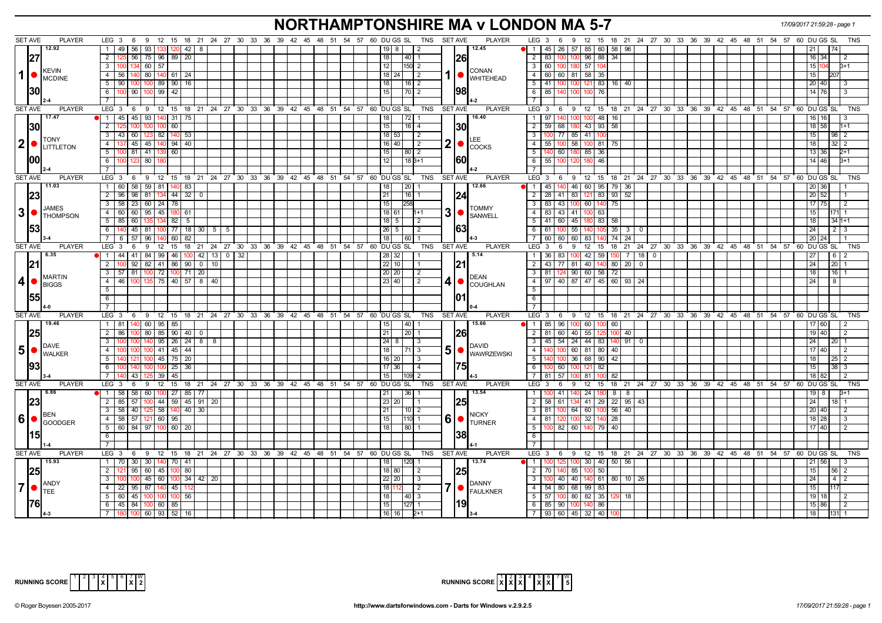# **NORTHAMPTONSHIRE MA v LONDON MA 5-7** *17/09/2017 21:59:28 - page 1*

| <b>SET AVE</b>  | <b>PLAYER</b>                                | LEG 3<br>6                                                  | 9 12 15 18 21 24 27 30 33 36 39 42 45 48 51 54 57 60 DU GS SL  | <b>SET AVE</b><br>TNS                                                         | <b>PLAYER</b>                                      | LEG $3 \quad 6$<br>9                                                  | 12 15 18 21 24 27 30 33 36 39 42 45 48 51 54 57 60 DUGS SL<br>TNS           |
|-----------------|----------------------------------------------|-------------------------------------------------------------|----------------------------------------------------------------|-------------------------------------------------------------------------------|----------------------------------------------------|-----------------------------------------------------------------------|-----------------------------------------------------------------------------|
|                 |                                              |                                                             |                                                                |                                                                               |                                                    |                                                                       |                                                                             |
|                 | 12.92                                        | 56   93   133<br>$120$ 42 8<br>1 49                         |                                                                | 19<br>8<br>$\overline{2}$                                                     | 12.45                                              | 1   45   26   57   85   60   58   96                                  |                                                                             |
|                 |                                              | 56 75 96<br>$89 \mid 20$<br>2 I                             |                                                                | 18<br>$\sqrt{40}$ 1                                                           | <b>26</b>                                          | 83<br>96 88<br>34<br>2<br>100                                         | 16   34  <br>$\mathcal{P}$                                                  |
|                 | <b>KEVIN</b>                                 | 3 I<br>134 60 57                                            |                                                                | 12<br> 150  2                                                                 |                                                    | $\overline{\mathbf{3}}$<br>57 104<br>60   100  <br>180                | 15 I<br>3+1                                                                 |
| $\mathbf{1}$    |                                              | $4 \mid 56$<br>80 140<br>$61$ 24<br>140                     |                                                                | $18$   24 <br>$\sqrt{2}$                                                      | <b>CONAN</b><br>$1 \nvert \nvert$ WHITEHEAD        | $-4$<br>60 60 81 58 35                                                | 15  <br>20                                                                  |
|                 | MCDINE                                       | 100 100 89<br>$90$ 16<br>5   90                             |                                                                | 18<br>$16$ 2                                                                  |                                                    | $-5$<br>$41 \overline{100}$<br>$16$ 40<br>100<br>121 83               | 20 40                                                                       |
| <b>130</b>      |                                              | 6 100 90 100 99<br>42                                       |                                                                | 15<br>$\sqrt{70}$ 2                                                           | 98                                                 | 6<br>85<br>100<br>100 76                                              | 14 I 76 I                                                                   |
|                 |                                              |                                                             |                                                                |                                                                               |                                                    |                                                                       |                                                                             |
|                 |                                              |                                                             |                                                                |                                                                               |                                                    |                                                                       | <b>TNS</b>                                                                  |
| <b>SET AVE</b>  | <b>PLAYER</b>                                | LEG 3                                                       |                                                                | 6 9 12 15 18 21 24 27 30 33 36 39 42 45 48 51 54 57 60 DUGS SL TNS<br>SET AVE | <b>PLAYER</b><br>16.40                             |                                                                       | LEG 3 6 9 12 15 18 21 24 27 30 33 36 39 42 45 48 51 54 57 60 DUGS SL        |
|                 | 17.47                                        | 45   93   140   31   75<br>$1 \mid 45$                      |                                                                | 72 1<br>  18                                                                  |                                                    | $100$ 48 16<br>$\overline{1}$<br>97 <sup>1</sup><br>100               | 16                                                                          |
| <b>130</b>      |                                              | $\overline{2}$<br>60                                        |                                                                | 15<br>$16$   4                                                                | 30                                                 | $\overline{2}$<br>43 93<br>58<br>$59$ 68<br>180                       | 18 58                                                                       |
|                 | <b>TONY</b>                                  | 60 123 82<br>$140$ 53<br>3   43                             |                                                                | 18 53<br>$\vert$ 2                                                            |                                                    | 100 77 85 41 100<br>$\mathbf{3}$                                      | 15<br>98 <sup>2</sup>                                                       |
|                 | $ 2 $ $\bullet$ $\frac{ 10NY }{L}$ LITTLETON | 45 45 140<br>$94 \mid 40$<br>4 <sup>1</sup>                 |                                                                | 16 40<br>l 2                                                                  | $2  \bullet  _{\text{COCKS}}$                      | 55 100 58 100 81<br>$\overline{4}$<br>75                              | 18<br>$32 \mid 2$                                                           |
|                 |                                              | 5 <sup>1</sup><br>$81$   41   1<br>60                       |                                                                | 15<br>  80   2                                                                |                                                    | 5<br>140 60<br>85 36                                                  | 13   36                                                                     |
| 100             |                                              | $6 \mid$<br>123<br>80 I                                     |                                                                | 12<br>$18B+1$                                                                 | <b>160</b>                                         | 6<br>55   100<br>46<br>120                                            | 14   46                                                                     |
|                 |                                              | $7^{\circ}$                                                 |                                                                |                                                                               |                                                    | $\overline{7}$                                                        |                                                                             |
| <b>SET AVE</b>  | <b>PLAYER</b>                                | LEG 3                                                       | 6 9 12 15 18 21 24 27 30 33 36 39 42 45 48 51 54 57 60 DUGS SL | TNS<br><b>SET AVE</b>                                                         | <b>PLAYER</b>                                      | $LEG_3$ 6                                                             | 0 12 15 18 21 24 27 30 33 36 39 42 45 48 51 54 57 60 DUGS SL<br>TNS         |
|                 | 11.03                                        | 58<br>$59$ 81<br>1 60<br>140 <br>83                         |                                                                | 20 <br>18                                                                     | 12.66                                              | 46<br>60 95<br>79<br>11<br>45<br>36                                   | 36                                                                          |
|                 |                                              |                                                             |                                                                |                                                                               |                                                    |                                                                       |                                                                             |
|                 | 23                                           | $2 \mid 96$<br>98 81 134<br>$44$ 32 0                       |                                                                | 21 <br>  16   1                                                               |                                                    | 83 121 83<br>$93 \mid 52$<br>$\overline{2}$<br>28   41                | 20 52                                                                       |
|                 | JAMES                                        | $23 \ 60 \ 24 \ 78$<br>$3 \quad 58$                         |                                                                | 15<br>258                                                                     | <b>TOMMY</b>                                       | $\overline{\mathbf{3}}$<br>$83 \mid 43$<br>75<br>100<br>60 140        | 17 75                                                                       |
| 3  <sub>o</sub> | <b>THOMPSON</b>                              | $4 \overline{60}$<br>60 95 45<br>180 61                     |                                                                | 3 •<br>18 61<br>$11+1$                                                        | <b>SANWELL</b>                                     | 41<br>$\overline{4}$<br>83   43  <br>100 63                           | 15                                                                          |
|                 |                                              | $5 \mid 85$<br>-60 I<br>$82$   5                            |                                                                | 18 5<br>l 2                                                                   |                                                    | 5<br>41 60<br>45 180 83<br>58                                         | $341+1$<br>18.                                                              |
|                 | 53                                           | 6<br>45<br>77   18   30  <br>81   100                       | 5 <sup>5</sup><br>- 5                                          | 26<br>5                                                                       | 63                                                 | 35<br>$6\overline{6}$<br>55<br>61   100<br>30                         |                                                                             |
|                 |                                              | 60<br>7 I<br>57<br>96<br>-82                                |                                                                | 18<br>60                                                                      |                                                    | $\overline{7}$<br>60<br>60<br>74<br>24<br>60<br>83                    |                                                                             |
| <b>SET AVE</b>  | <b>PLAYER</b>                                | LEG <sub>3</sub><br>9<br>12<br>15<br>6                      | 18 21 24 27 30 33 36 39 42 45 48 51                            | 60 DU GS SL<br>TNS<br><b>SET AVE</b><br>54 57                                 | <b>PLAYER</b>                                      | 21 24 27<br>LEG <sup>®</sup><br>9<br>12<br>15<br>18<br>-3<br>6        | 30 33 36 39 42 45 48 51 54 57 60 DUGS SL<br><b>TNS</b>                      |
|                 | $\blacksquare$ 6.35                          | 1   44<br>41<br>84   99  <br>46                             | $13$ 0 32<br>$100$ 42                                          | 28 32                                                                         | 5.14                                               | 42 59<br>$\overline{7}$<br> 18 <br>$\mathbf 0$<br>$\mathbf{1}$<br>83  | - 6                                                                         |
|                 | 21                                           | 2 I<br>92<br>82   41  <br>86   90   0                       | 10                                                             | 22<br>10                                                                      | 21                                                 | 2<br>43 <sup>1</sup><br>81<br>40 I<br>80   20<br>l 77 l<br>- 0        | 201                                                                         |
|                 |                                              | $3 \mid 57$<br>81<br>$100$ 72<br>$100$ 71 20                |                                                                | 20 20<br>$\overline{2}$                                                       |                                                    | $\overline{\phantom{a}3}$<br>81   124   90   60   58<br>72            | $16 \mid 1$                                                                 |
|                 | <b>MARTIN</b>                                | 100   135   75   40   57   8   40<br>$4 \mid 46$            |                                                                |                                                                               | <b>DEAN</b>                                        | 97 40 87 47 45 60 93 24                                               | 24                                                                          |
| $\overline{4}$  | <b>BIGGS</b>                                 |                                                             |                                                                | 23   40<br>2                                                                  | $4  \bullet  $ COUGHLAN                            | $-4$                                                                  |                                                                             |
|                 |                                              | 5                                                           |                                                                |                                                                               |                                                    | $-5$                                                                  |                                                                             |
|                 | 1551                                         | 6                                                           |                                                                | <b>101</b>                                                                    |                                                    | 6                                                                     |                                                                             |
|                 |                                              |                                                             |                                                                |                                                                               |                                                    |                                                                       |                                                                             |
| <b>SET AVE</b>  | <b>PLAYER</b>                                | LEG <sub>3</sub>                                            | 6 9 12 15 18 21 24 27 30 33 36 39 42 45 48 51 54 57 60 DUGS SL | TNS SET AVE                                                                   | <b>PLAYER</b>                                      |                                                                       | LEG 3 6 9 12 15 18 21 24 27 30 33 36 39 42 45 48 51 54 57 60 DUGS SL<br>TNS |
|                 | 19.46                                        | $1 \mid 81$<br>140<br>60 95 85                              |                                                                | 40 1<br>  15                                                                  | 15.66                                              | $\sqrt{1}$<br>85 96<br>60 100 60<br>100                               | 17 60                                                                       |
|                 | 25                                           | $80 \ 85 \ 90 \ 40 \ 0$<br>$2 \mid 86$                      |                                                                | 21<br> 20 1                                                                   | <b>26</b>                                          | $\overline{2}$<br>40<br>55 125<br>81 60<br>100<br>40                  | 19 40<br>$\overline{2}$                                                     |
|                 |                                              | $140 \mid 95 \mid 26 \mid 24 \mid 8 \mid 8$<br>3 I<br>100 I |                                                                | 24 8<br>l 3                                                                   |                                                    | 45   54   24   44   83  <br>$\overline{\mathbf{3}}$<br>$140$   91   0 | 24<br>2011                                                                  |
| 5 ●             | <b>DAVE</b>                                  | 100   100   41   45   44<br>4                               |                                                                | 18  <br>  71   3                                                              | DAVID<br>$50$ WAWRZEWSKI                           | 140 100 60 81 80<br>$4 \vert$<br>  40                                 | 17   40  <br>I 2                                                            |
|                 | <b>WALKER</b>                                | 121   100   45   75   20<br>5                               |                                                                | $16$   20<br>l 3                                                              |                                                    | 140 100 36 68 90 42<br>5                                              | 18                                                                          |
| 93              |                                              | $25 \mid 36$<br>6<br>140 I                                  |                                                                | $17$ 36<br>$\overline{4}$                                                     |                                                    | $100$ 60<br>6<br>100<br>82<br>-121                                    | 15 I                                                                        |
|                 |                                              | 7<br>43<br>45<br>  39                                       |                                                                | 15<br>109 2                                                                   |                                                    | $\overline{7}$<br>$81 \overline{57}$<br>81<br>82                      | 18                                                                          |
| <b>SET AVE</b>  | <b>PLAYER</b>                                | LEG <sub>3</sub>                                            |                                                                | TNS<br><b>SET AVE</b>                                                         | <b>PLAYER</b>                                      | LEG <sup>3</sup>                                                      | 9 12 15 18 21 24 27 30 33 36 39 42 45 48 51 54 57 60 DUGS SL<br><b>TNS</b>  |
|                 |                                              | 6                                                           | 9 12 15 18 21 24 27 30 33 36 39 42 45 48 51 54 57 60 DUGS SL   |                                                                               |                                                    | 6                                                                     |                                                                             |
|                 | 6.86                                         | $1 \mid 58$<br>58<br>60   100   27<br>85   77               |                                                                | 21<br> 36                                                                     | 13.54                                              | $\mathbf{1}$<br>41<br>24 I<br>8<br>- 8                                |                                                                             |
| 23              |                                              | 100 44 59 45 91<br>$2 \mid 85$<br>57                        | 20                                                             | 23 20<br>$\overline{1}$                                                       | 25                                                 | $22 \mid 95 \mid 43$<br>$\overline{2}$<br>$58$ 61<br>$41$ 29          | 24 <sub>1</sub><br>18 <sup>1</sup>                                          |
|                 | BEN                                          | 40   125   58   140   40   30<br>$3 \overline{58}$          |                                                                | 21<br>  10   2                                                                | <b>NICKY</b>                                       | $56$ 40<br>$\overline{\mathbf{3}}$<br>81 100 64 60 100                | 20   40                                                                     |
| 6               | <b>GOODGER</b>                               | $4 \mid 58$<br>57<br>$121$ 60<br>95                         |                                                                | 15<br>110 1                                                                   | $60$ $\bullet$ $\frac{\text{NION}}{\text{TURNER}}$ | 28<br>$\overline{4}$<br>81<br>100<br>32                               | 18   28                                                                     |
|                 |                                              | 5 60<br>84 97 100<br>60 20                                  |                                                                | 18<br>80 1                                                                    |                                                    | 5<br>60<br>40<br>$100$ 82<br>140 79                                   | 17 40                                                                       |
|                 | 15                                           | 6                                                           |                                                                | 38                                                                            |                                                    | 6                                                                     |                                                                             |
|                 |                                              | $\overline{7}$                                              |                                                                |                                                                               |                                                    | $\overline{7}$                                                        |                                                                             |
| <b>SET AVE</b>  | <b>PLAYER</b>                                | LEG <sub>3</sub><br>6                                       | 9 12 15 18 21 24 27 30 33 36 39 42 45 48 51 54 57 60 DUGS SL   | TNS<br>SET AVE                                                                | <b>PLAYER</b>                                      | $LEG_3$ 6<br>$9$ 12 15                                                | 18 21 24 27 30 33 36 39 42 45 48 51 54 57 60 DUGS SL<br><b>TNS</b>          |
|                 | 15.93                                        | 1   70   30   30   140   70   41                            |                                                                | 120 1<br>18                                                                   | 13.74                                              | 30 40 50 56<br>$\blacksquare$<br>100 125 100                          | 56                                                                          |
|                 |                                              | $\overline{2}$<br>95<br>$60$   45<br>80<br>100              |                                                                | 18 80<br>l 2                                                                  |                                                    | 85<br>100 50<br>2<br>70 I                                             | <b>56</b>                                                                   |
|                 | 25                                           |                                                             |                                                                |                                                                               | <b>25</b>                                          |                                                                       |                                                                             |
|                 | <b>ANDY</b>                                  | $3-1$<br>$45 \mid 60 \mid$<br>100 I                         | $100 \ 34 \ 42 \ 20$                                           | $22$ 20<br>l 3                                                                | <b>DANNY</b>                                       | $\overline{\mathbf{3}}$<br>40 140 61 80 10 26<br>$100$ 40             | $4\overline{2}$<br>24                                                       |
| 7 <sup>1</sup>  | TEE                                          | 4 22 95 87 140 45 112                                       |                                                                | 7 ●<br>18<br>$\sqrt{2}$                                                       | <b>FAULKNER</b>                                    | $-4$<br>$54$ 80 68 99 83                                              | 15                                                                          |
|                 |                                              | 5 60 45 100 100<br>100 <sup>1</sup><br>56                   |                                                                | 18<br>$\vert 40 \vert 3$                                                      |                                                    | $-5$<br>57 100 80 82 35<br>18<br>129 I                                | 19   18                                                                     |
|                 |                                              | $6$ 45 84 100 60 85                                         |                                                                | $\overline{15}$<br> 127  1                                                    | 119                                                | 6<br>85 90 100 140 86                                                 | $\overline{2}$<br>15 86                                                     |
|                 |                                              | 7 180 100 60 93 52 16                                       |                                                                | 116116<br>$2+1$                                                               |                                                    | 7 93 60 45 32 40<br>100 <sup>1</sup>                                  | 118<br>131 1                                                                |



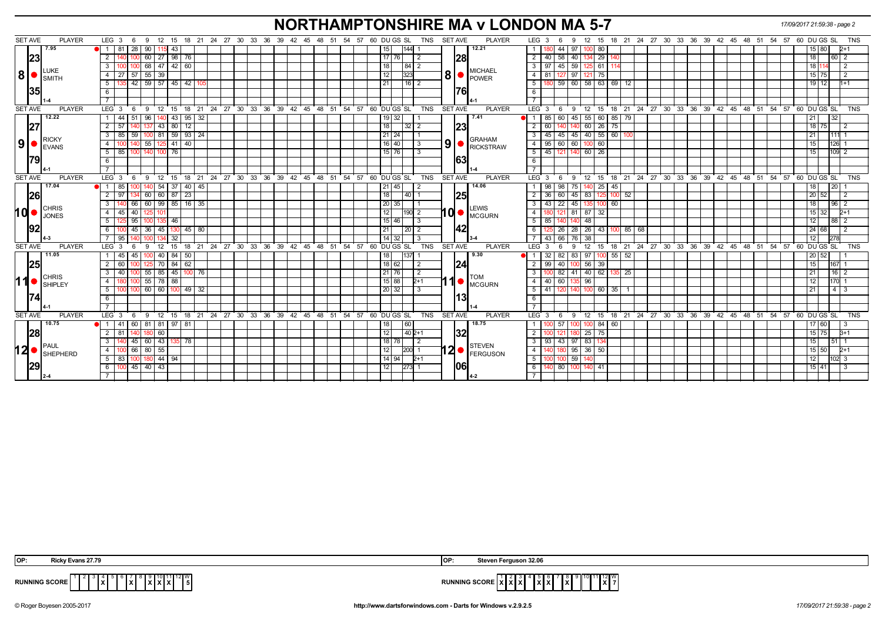# **NORTHAMPTONSHIRE MA v LONDON MA 5-7** *17/09/2017 21:59:38 - page 2*

| <b>SET AVE</b> | <b>PLAYER</b>                   | LEG <sub>3</sub><br>9<br>- 6          |                           | 12 15 18 21 24 27 30 33 36 39 42 45 48 51 54 57 60 DUGS SL  | <b>SET AVE</b><br><b>PLAYER</b><br>TNS                                                                                                                                                                         | LEG 3<br>12 15 18 21 24 27 30 33 36 39 42 45 48 51 54 57 60 DUGS SL<br>TNS<br>9<br>- 6                                   |
|----------------|---------------------------------|---------------------------------------|---------------------------|-------------------------------------------------------------|----------------------------------------------------------------------------------------------------------------------------------------------------------------------------------------------------------------|--------------------------------------------------------------------------------------------------------------------------|
|                | 7.95                            | 1 81 28<br>115 43<br>-90 I            |                           |                                                             | 12.21<br>144 <br>15                                                                                                                                                                                            | 97<br>  44<br>100 80<br>$\mathbf{1}$<br>15 80<br>2+1                                                                     |
|                | 23                              | 60   27   98   76<br><sup>2</sup>     |                           |                                                             | <b>28</b><br>17   76<br>-2                                                                                                                                                                                     | $\overline{2}$<br>40   58  <br>40 134 29<br>18<br>60 2                                                                   |
|                | LUKE                            | 68 47 42 60<br>$\mathbf{3}$           |                           |                                                             | 18<br>$84$   2<br><b>MICHAEL</b>                                                                                                                                                                               | 59<br>3 I<br>$97 \mid 45$<br>125 61<br>181                                                                               |
| 8 <sup>1</sup> | <b>SMITH</b>                    | 27 57 55 39<br>4 I                    |                           |                                                             | $\left  8 \right $ $\bullet$ $\left  \frac{\text{Wilb} \cdot \text{Wilb}}{\text{POWER}} \right $<br>12<br>323                                                                                                  | 81   127   97   121   75  <br>15 75<br>4<br>l 2                                                                          |
|                |                                 | 35 42 59 57 45 42 105<br>5            |                           |                                                             | 16 2<br>21                                                                                                                                                                                                     | 180 59 60 58 63 69 12<br>$19$ 12<br>5 <sup>5</sup><br>$1 + 1$                                                            |
|                | 35                              | 6                                     |                           |                                                             | 1761                                                                                                                                                                                                           | 6                                                                                                                        |
|                |                                 | $\overline{7}$                        |                           |                                                             |                                                                                                                                                                                                                | $\overline{7}$                                                                                                           |
| <b>SET AVE</b> | <b>PLAYER</b>                   | LEG <sub>3</sub><br>- 9<br>6          |                           | 12 15 18 21 24 27 30 33 36 39 42 45 48 51 54 57 60 DUGSSL   | TNS<br><b>SET AVE</b><br><b>PLAYER</b>                                                                                                                                                                         | $LEG \ 3 \ 6$<br>9 12 15 18 21 24 27 30 33 36 39 42 45 48 51 54 57 60 DUGSSL TNS                                         |
|                | 12.22                           | 44<br>96                              | 43<br>$95 \mid 32$        |                                                             | 7.41<br>$19$ 32                                                                                                                                                                                                | 45<br>55 60<br>$85$ 79<br>85 60                                                                                          |
|                | 27                              | 2 <sup>1</sup><br>57<br>43            | 80                        |                                                             | 23 <br>18<br>$32$   2                                                                                                                                                                                          | 75<br>$\overline{2}$<br>60<br>60<br>26<br>18 75                                                                          |
|                | <b>RICKY</b>                    | 3 I<br>85 I<br>59                     | $100$ 81 59 93 24         |                                                             | $21 \overline{24}$<br><b>GRAHAM</b>                                                                                                                                                                            | 45 40 55 60<br>$45$   45<br>$\mathbf{3}$<br>211                                                                          |
| 9 <sub>l</sub> | EVANS                           | 55<br>125 41<br>$\overline{4}$        | 40                        |                                                             | $\left  9 \right $ $\bullet$ Rickstraw<br>$16 \mid 40$<br>l 3                                                                                                                                                  | 60 100 60<br>$\overline{4}$<br>$95 \mid 60$<br>15 <sup>1</sup><br>126 1                                                  |
|                |                                 | 5 <sup>5</sup><br>85<br>$100$ 76      |                           |                                                             | $15 \mid 76$                                                                                                                                                                                                   | $5\overline{)}$<br>45 121<br>60 26<br>140<br>15 <sub>1</sub><br>109 2                                                    |
|                | 179                             | 6                                     |                           |                                                             | 63                                                                                                                                                                                                             | 6                                                                                                                        |
|                |                                 |                                       |                           |                                                             |                                                                                                                                                                                                                |                                                                                                                          |
| <b>SET AVE</b> | <b>PLAYER</b>                   | LEG 3<br>-9<br>- 12<br>- 6            | 21<br>24<br>- 15<br>- 18  | 27 30 33<br>$36 \quad 39$<br>42 45 48                       | TNS<br><b>SET AVE</b><br>60 DUGS SL<br><b>PLAYER</b><br>51<br>54 57                                                                                                                                            | $LEG^3$ 3<br>18 21 24 27 30 33 36<br>39 42 45<br>51 54<br>57<br>60 DU GS SL<br><b>TNS</b><br>12 15<br>- 48<br>- 9<br>- 6 |
|                | 17.04                           | 85<br>54<br>11                        | -37<br>40   45            |                                                             | 14.06<br>  21<br>45                                                                                                                                                                                            | 98<br>$\sqrt{98}$<br>75<br>140 25<br>45<br>20<br>$\mathbf{1}$<br>18                                                      |
|                | <b>26</b>                       | 60 60 87<br>2 <sup>1</sup><br>97      | 23                        |                                                             | 25<br>18<br>$140$ 1                                                                                                                                                                                            | 45 83 125<br>20 52<br>$\overline{2}$<br>$36$ 60<br>$100$ 52<br>$\overline{2}$                                            |
|                | <b>CHRIS</b>                    | 3<br>40 66                            | 60 99 85 16 35            |                                                             | 20 35                                                                                                                                                                                                          | 45 135 100 60<br>3<br>43<br>$\sqrt{22}$<br>18<br>$96$ 2                                                                  |
| hd∙            | <b>JONES</b>                    | 40<br>4<br>45<br>101                  |                           |                                                             | $10$ $\bullet$ $\overline{\phantom{a}}$ $\overline{\phantom{a}}$ $\overline{\phantom{a}}$ $\overline{\phantom{a}}$ $\overline{\phantom{a}}$ $\overline{\phantom{a}}$ $\overline{\phantom{a}}$<br>12<br>$190$ 2 | $\overline{4}$<br>81 87 32<br>$15 \overline{\smash{)}32}$<br>$2+1$<br>301 121                                            |
|                |                                 | 5 <sup>1</sup><br>25 95<br>100 135 46 |                           |                                                             | 15 46 <br>$\overline{\phantom{0}}$ 3                                                                                                                                                                           | 5<br>85 140<br>140<br>48<br>12<br>88 2                                                                                   |
|                | 192                             | $00 \t 45 \t 36 \t 45$<br>6           | $130$ 45 80               |                                                             | 42 <br>21<br>$\vert 20 \vert 2$                                                                                                                                                                                | 6<br>28 26 43<br>$125$ 26<br>100 85 68<br>24 68                                                                          |
|                |                                 | 95                                    | 32                        |                                                             | 14<br>32<br>-3                                                                                                                                                                                                 | $\overline{76}$<br>$\overline{7}$<br>38<br>12 <sup>1</sup><br>43   66<br>278                                             |
| <b>SET AVE</b> | <b>PLAYER</b>                   | LEG <sub>3</sub><br>-9<br>12          | 15<br>18<br>$^{\circ}$ 21 | 24 27 30 33 36 39 42 45 48 51 54 57 60 DUGS SL              | <b>TNS</b><br><b>SET AVE</b><br><b>PLAYER</b>                                                                                                                                                                  | LEG <sup>'</sup><br>18 21 24 27 30 33 36 39 42 45 48 51 54 57 60 DUGS SL<br>12<br><b>TNS</b><br>- 3<br><b>q</b><br>15    |
|                | 11.05                           | 40  <br>45<br>45                      | 84<br>50                  |                                                             | 18<br>137<br>9.30                                                                                                                                                                                              | $32 \mid 82 \mid$<br>83<br>$100$ 55 52<br>97<br>20 52                                                                    |
|                | 25                              | $\overline{2}$<br>60                  | 62                        |                                                             | 24 <br>18 62<br>$\vert$ 2                                                                                                                                                                                      | 56 39<br>15 <sup>1</sup><br>$\overline{2}$<br>99   40<br>167 1<br>100 I                                                  |
|                | <b>CHRIS</b>                    | $\overline{3}$<br>40<br>100           | 55 85 45 100 76           |                                                             | 21 76<br>l 2<br>TOM                                                                                                                                                                                            | $\overline{3}$<br>100 82<br>41 40 62<br>$16 \mid 2$<br>$135$ 25<br>21 <sup>1</sup>                                       |
| 11             | <b>SHIPLEY</b>                  | 100 55 78 88<br>4 I                   |                           |                                                             | 1<br>15 88 <br>$2+1$<br>I <sup>O</sup> MCGURN                                                                                                                                                                  | $\overline{4}$<br>40 60 135 96<br>12<br>$170 - 1$                                                                        |
|                |                                 | $5\sqrt{ }$<br>$100$ 60 60 100 49 32  |                           |                                                             | $\vert$ 20 $\vert$ 32<br>-3                                                                                                                                                                                    | 5<br>$-41$ 120<br>140 100 60 35<br>21<br>4 3                                                                             |
|                |                                 | 6                                     |                           |                                                             | l13l                                                                                                                                                                                                           | 6                                                                                                                        |
|                |                                 |                                       |                           |                                                             |                                                                                                                                                                                                                | $\overline{7}$                                                                                                           |
| <b>SET AVE</b> | <b>PLAYER</b>                   | LEG <sub>3</sub><br>6                 |                           | 9 12 15 18 21 24 27 30 33 36 39 42 45 48 51 54 57 60 DUGSSL | TNS<br><b>SET AVE</b><br><b>PLAYER</b>                                                                                                                                                                         | 9 12 15 18 21 24 27 30 33 36 39 42 45 48 51 54 57 60 DUGS SL<br>LEG <sub>3</sub><br><b>TNS</b><br>6                      |
|                | 10.75                           | $\bullet$ 1 41 60 81 81 97            | 81                        |                                                             | 60<br>18.75<br>18                                                                                                                                                                                              | 60<br>100 57<br>100 84<br>$\mathbf{1}$<br>100 <sub>1</sub><br>17 60                                                      |
|                | 28                              | $2 \mid 81$<br>60<br>140              |                           |                                                             | 32 <br>12<br>$1402+1$                                                                                                                                                                                          | $\overline{2}$<br>$25 \mid 75$<br>15 75<br>$3+1$<br>100 121<br>180                                                       |
|                |                                 | 40 45 60 43 135 78<br>3               |                           |                                                             | 18   78  <br>$\sqrt{2}$                                                                                                                                                                                        | $\overline{\mathbf{3}}$<br>93 43 97 83 134<br>15<br>$-51$ 1                                                              |
| 12 <sup></sup> | PAUL<br>$\blacksquare$ SHEPHERD | 100 66 80 55<br>4 I                   |                           |                                                             | <b>STEVEN</b><br>$12 \bullet$ FERGUSON<br>12<br>$ 200 $ 1                                                                                                                                                      | $95 \mid 36 \mid 50$<br>4<br>$15 \ 50$<br>$2+1$                                                                          |
|                |                                 | 44 94<br>5 83<br>100                  |                           |                                                             | $14 \mid 94$<br>$2+1$                                                                                                                                                                                          | 59<br>5<br>12 <sub>1</sub><br>102 3                                                                                      |
|                | 129                             | $100$ 45 40 43<br>6 I                 |                           |                                                             | 106<br>$273$ 1<br>12                                                                                                                                                                                           | 140 80 100 140 41<br>$15 \mid 41$<br>6<br>l 3                                                                            |
|                |                                 |                                       |                           |                                                             |                                                                                                                                                                                                                |                                                                                                                          |

| OP:                      | Ferauson 32.06                                                                  |
|--------------------------|---------------------------------------------------------------------------------|
| v Evans 27.79            | lOF                                                                             |
| $^{\circ}$ 11112 $W_{1}$ | $\frac{11}{12}$ $\frac{12}{7}$                                                  |
| <b>RUNNING SCORE</b>     | <b>IING SCORE</b>                                                               |
| .                        | IX I                                                                            |
|                          | X X                                                                             |
| ^ "                      | 88 A B A                                                                        |
| $\mathbf{L}$             | the contract of the contract of the contract of the contract of the contract of |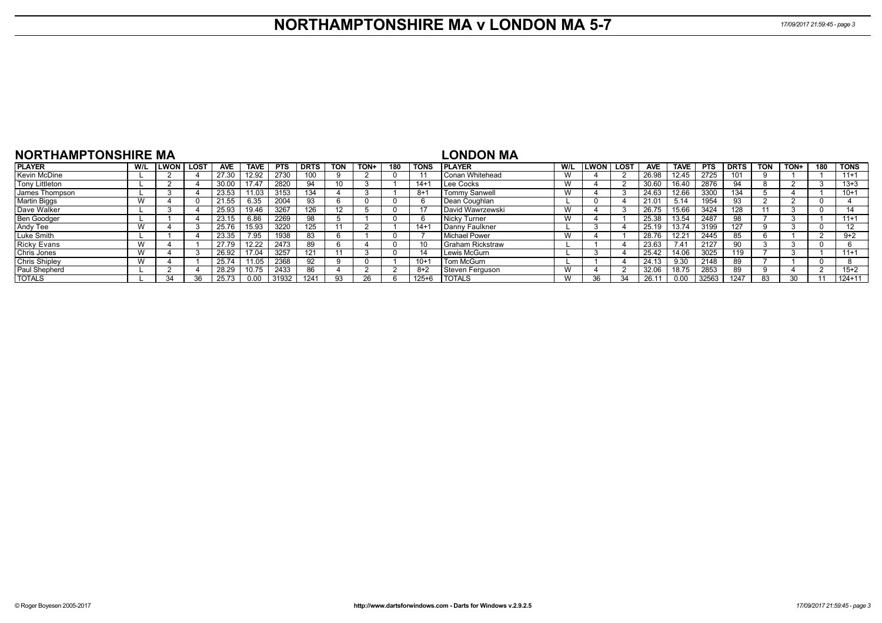## **NORTHAMPTONSHIRE MA v LONDON MA 5-7** *17/09/2017 21:59:45 - page 3*

| NORTHAMPTONSHIRE MA   |           |                   |            |             |            |             |            |      |     |             | LONDON MA               |     |              |      |            |             |            |             |            |      |     |             |
|-----------------------|-----------|-------------------|------------|-------------|------------|-------------|------------|------|-----|-------------|-------------------------|-----|--------------|------|------------|-------------|------------|-------------|------------|------|-----|-------------|
| <b>PLAYER</b>         | W/L       | <b>ILWON LOST</b> | <b>AVE</b> | <b>TAVE</b> | <b>PTS</b> | <b>DRTS</b> | <b>TON</b> | TON+ | 180 | <b>TONS</b> | <b>IPLAYER</b>          | W/L | <b>ILWON</b> | LOST | <b>AVE</b> | <b>TAVE</b> | <b>PTS</b> | <b>DRTS</b> | <b>TON</b> | TON+ | 180 | <b>TONS</b> |
| Kevin McDine          |           |                   | 27.30      | 12.92       | 2730       | 100         |            |      |     |             | l Conan Whitehead       | W   |              |      | 26.98      | 12.45       | 2725       | 101         |            |      |     | $11+1$      |
| <b>Tony Littleton</b> |           |                   | 30.00      | 17.47       | 2820       | 94          |            |      |     | $14+$       | Lee Cocks               | W   |              |      | 30.60      | 16.40       | 2876       | 94          |            |      |     | $13 + 3$    |
| James Thompson        |           |                   | 23.53      | 11.03       | 3153       | 134         |            |      |     | $8+$        | <b>Tommy Sanwell</b>    | W   |              |      | 24.63      | 12.66       | 3300       | 134         |            |      |     | $10+1$      |
| <b>Martin Biggs</b>   |           |                   | 21.55      | 6.35        | 2004       | 93          | h          |      |     |             | Dean Coughlan           |     |              |      | 21.01      | 5.14        | 1954       | 93          |            |      |     |             |
| Dave Walker           |           |                   | 25.93      | 19.46       | 3267       | 126         |            |      |     |             | <b>David Wawrzewski</b> | W   |              |      | 26.75      | 15.66       | 3424       | 128         |            |      |     | 14          |
| Ben Goodger           |           |                   | 23.15      | 6.86        | 2269       | 98          |            |      |     |             | Nicky Turner            | W   |              |      | 25.38      | 13.54       | 2487       | 98          |            |      |     | $11+1$      |
| Andy Tee              |           |                   | 25.76      | 15.93       | 3220       | 125         |            |      |     | $14+$       | l Danny Faulkner        |     |              |      | 25.19      | 13.74       | 3199       | 127         |            |      |     | 12          |
| Luke Smith            |           |                   | 23.35      | 7.95        | 1938       | 83          | n          |      |     |             | Michael Power           | W   |              |      | 28.76      | 12.21       | 2445       | 85          |            |      |     | $9+2$       |
| <b>Ricky Evans</b>    | W         |                   | 27.79      | 12.22       | 2473       | 89          | n          |      | -0  |             | l Graham Rickstraw      |     |              |      | 23.63      | 7.41        | 2127       | 90          |            |      |     |             |
| <b>Chris Jones</b>    | <b>VV</b> |                   | 26.92      | 17.04       | 3257       | 121         |            |      |     | 14          | Lewis McGurn            |     |              |      | 25.42      | 14.06       | 3025       | 119         |            |      |     | $11+1$      |
| <b>Chris Shipley</b>  |           |                   | 25.74      | 11.05       | 2368       | 92          |            |      |     | $10+$       | Tom McGurn              |     |              |      | 24.13      | 9.30        | 2148       | 89          |            |      |     |             |
| Paul Shepherd         |           |                   | 28.29      | 10.75       | 2433       | 86          |            |      |     | $8+2$       | Steven Ferguson         | W   |              |      | 32.06      | 18.75       | 2853       | 89          |            |      |     | $15+2$      |
| <b>TOTALS</b>         |           | વ∠                | 25.73      |             | 31932      | 1241        | 93         |      |     | $125 + 6$   | <b>TOTALS</b>           | W   |              | 34   |            | n nn        | 32563      | 1247        | 83         |      |     | $124 + 11$  |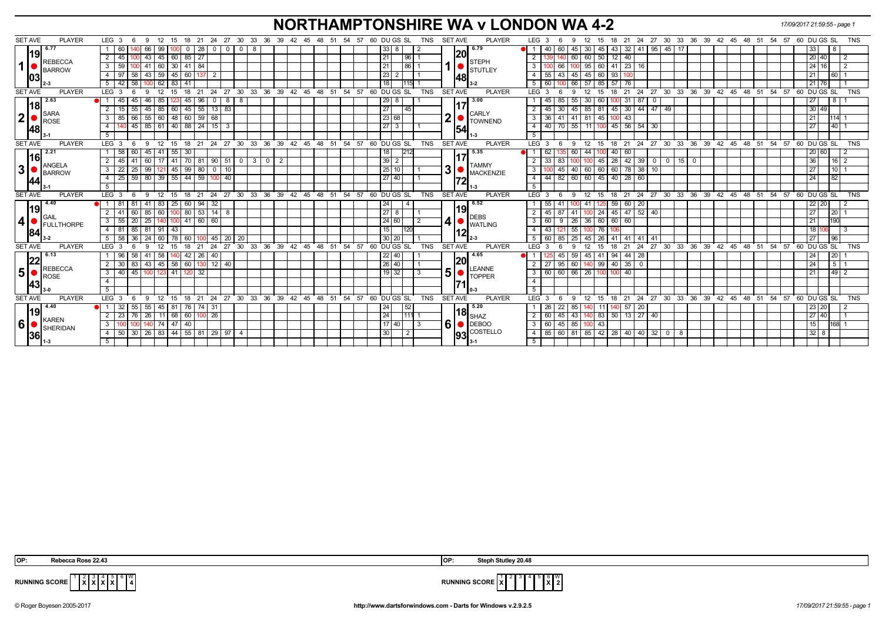# **NORTHAMPTONSHIRE WA v LONDON WA 4-2** *17/09/2017 21:59:55 - page 1*

| <b>SET AVE</b><br><b>PLAYER</b> | LEG 3                                            | 6   | 12<br>-9                               | - 15         | 18 21        |                  | 24                                          |                 | 27 30 33 36 39 42 45 48 51                |                                                               |  | 54 57 |             | 60 DU GS SL                                                |                | TNS        |                          | <b>SET AVE</b> | <b>PLAYER</b>           |                         | LEG <sub>3</sub>    | -9                       | 12           | 15                        | 18              |                     |             |                                                                                                                                        |              |  | 21 24 27 30 33 36 39 42 45 48 51 54                     | 57              | 60 DU GS SL     |                    |                 | <b>TNS</b> |
|---------------------------------|--------------------------------------------------|-----|----------------------------------------|--------------|--------------|------------------|---------------------------------------------|-----------------|-------------------------------------------|---------------------------------------------------------------|--|-------|-------------|------------------------------------------------------------|----------------|------------|--------------------------|----------------|-------------------------|-------------------------|---------------------|--------------------------|--------------|---------------------------|-----------------|---------------------|-------------|----------------------------------------------------------------------------------------------------------------------------------------|--------------|--|---------------------------------------------------------|-----------------|-----------------|--------------------|-----------------|------------|
| 6.77                            | 60                                               |     | 99<br>66                               |              | $\Omega$     | 28               | $\mathbf 0$<br>$\circ$ 1                    | $\overline{0}$  | -8                                        |                                                               |  |       |             | 33<br>8                                                    |                |            |                          |                | 6.79                    |                         | 40 I                | 60<br>45                 | 30 I         | 45                        | 43              | $32$   41   95      |             | $45 \mid 17$                                                                                                                           |              |  |                                                         |                 | 33              |                    | <b>18</b>       |            |
| 19                              | 2<br>45                                          |     | $-43$<br>45                            | 60           | $85 \mid 27$ |                  |                                             |                 |                                           |                                                               |  |       | $\sqrt{21}$ |                                                            | 96 1           |            |                          | 20             |                         | 2                       |                     | 60                       | 60 50        |                           | 12<br>40        |                     |             |                                                                                                                                        |              |  |                                                         |                 |                 | 20 40              |                 |            |
| <b>REBECCA</b><br>$\mathbf 1$   | 3 <sup>1</sup><br>59                             |     | 41<br>$\sqrt{60}$                      | 30           | 41 84        |                  |                                             |                 |                                           |                                                               |  |       | 21          |                                                            | 86             |            |                          |                | <b>STEPH</b>            | $\mathbf{3}$            |                     | 66                       | $95 \ 60$    |                           | 41              | $23 \mid 16$        |             |                                                                                                                                        |              |  |                                                         |                 |                 | $24 \mid 16$       |                 |            |
| BARROW                          | 97<br>4 I                                        | 58  | $43 \mid 59$                           | $-45$        |              | 60 137           | $\overline{2}$                              |                 |                                           |                                                               |  |       |             | 23                                                         |                |            |                          |                | <b>STUTLEY</b>          | $\overline{4}$          | $55 \mid 43$        | 45                       | 45 60        |                           | 93              |                     |             |                                                                                                                                        |              |  |                                                         |                 |                 | 21                 | $\overline{60}$ |            |
| 103                             | 42<br>5                                          | 58  |                                        | $62 \mid 83$ | -41          |                  |                                             |                 |                                           |                                                               |  |       |             | 18                                                         | 115            |            |                          | 48             |                         | 5                       | 60                  | 66                       | 57           | 85                        | 57<br>76        |                     |             |                                                                                                                                        |              |  |                                                         |                 |                 | 21   76            |                 |            |
| <b>SET AVE</b><br><b>PLAYER</b> | LEG <sub>3</sub>                                 |     | 12<br>9                                | 15           | 18           | 21               | 24<br>27                                    | 30 <sup>°</sup> | $33$ 36 39 42 45 48 51                    |                                                               |  | 54 57 |             | 60 DU GS SL                                                |                | <b>TNS</b> |                          | SET AVE        | <b>PLAYER</b>           |                         | $LEG^{\prime}$ 3    | 9                        | 12           | 15                        | 18              |                     |             |                                                                                                                                        |              |  | 21 24 27 30 33 36 39 42 45 48 51 54                     | $57$ 60 DUGS SL |                 |                    |                 | <b>TNS</b> |
| 2.63                            |                                                  | 45  | 85<br>-46                              |              | 45           | 96               | $\mathbf 0$<br>8                            | 8               |                                           |                                                               |  |       |             | 29<br>8                                                    |                |            |                          |                | 3.00                    |                         | 45                  | 55<br>85                 | 30 I         | 60                        | -31             | 87                  | $\mathbf 0$ |                                                                                                                                        |              |  |                                                         |                 | 27              |                    | 8 <sup>1</sup>  |            |
| l18l                            | 2<br>15 <sup>15</sup>                            | 55  | 85<br>45                               | 60           |              | $45$ 55 13       | 83                                          |                 |                                           |                                                               |  |       |             | 27                                                         | 45             |            |                          |                |                         | 2                       | 45                  | 45<br>30                 | 85 81        |                           | 45              | 30   44   47        |             | 49                                                                                                                                     |              |  |                                                         |                 |                 | $30 \overline{49}$ |                 |            |
| <b>SARA</b><br>2 <br>ROSE       | 3<br>85                                          | 66  | 55 60 48 60 59 68                      |              |              |                  |                                             |                 |                                           |                                                               |  |       |             | 23 68                                                      |                |            | $\mathbf{2}$             |                | <b>CARLY</b><br>TOWNEND | $\overline{\mathbf{3}}$ | 36                  | 41 41                    | 81 45        |                           | 43<br>100       |                     |             |                                                                                                                                        |              |  |                                                         |                 |                 |                    | 1114            |            |
| <b>148</b>                      | $\overline{4}$                                   |     |                                        |              |              |                  | 40 45 85 61 40 88 24 15 3                   |                 |                                           |                                                               |  |       |             | $\sqrt{27}$ 3                                              |                |            |                          | 54             |                         | $\overline{4}$          | 40                  | 70 55 11 100 45 56 54 30 |              |                           |                 |                     |             |                                                                                                                                        |              |  |                                                         |                 | 27              |                    | 40              |            |
|                                 | 5 <sup>5</sup>                                   |     |                                        |              |              |                  |                                             |                 |                                           |                                                               |  |       |             |                                                            |                |            |                          |                |                         | 5                       |                     |                          |              |                           |                 |                     |             |                                                                                                                                        |              |  |                                                         |                 |                 |                    |                 |            |
| <b>SET AVE</b><br><b>PLAYER</b> | LEG <sub>3</sub>                                 | - 6 | ື 9⊧                                   |              |              |                  |                                             |                 |                                           |                                                               |  |       |             | 12 15 18 21 24 27 30 33 36 39 42 45 48 51 54 57 60 DUGS SL |                | <b>TNS</b> |                          | <b>SET AVE</b> | <b>PLAYER</b>           |                         | LEG <sub>3</sub>    | 9                        | 12           |                           |                 |                     |             |                                                                                                                                        |              |  | 15 18 21 24 27 30 33 36 39 42 45 48 51 54 57 60 DUGS SL |                 |                 |                    |                 | <b>TNS</b> |
| 2.21                            | 58                                               | 60  | $45$   41   55                         |              | 30           |                  |                                             |                 |                                           |                                                               |  |       |             | 18                                                         |                |            |                          |                | 5.35                    | H 1                     | 62                  | 60                       | 44           |                           | 40<br>60        |                     |             |                                                                                                                                        |              |  |                                                         |                 |                 | 20 60              |                 |            |
| l16l<br>ANGELA                  | 45                                               | 41  | 60 I                                   | 41           |              |                  | 70 81 90 51                                 |                 | $0 \mid 3 \mid$                           | $\begin{array}{c c c c c} \hline 0 & 2 \\ \hline \end{array}$ |  |       |             | 39                                                         |                |            |                          |                | <b>TAMMY</b>            |                         | 33                  | 83                       |              | 45                        | 28              | $42 \mid 39 \mid 0$ |             |                                                                                                                                        | $\mathbf{0}$ |  |                                                         |                 | 36 <sup>1</sup> |                    | $16$ 2          |            |
| 3 <sup>1</sup><br>BARROW        | 3 <sup>1</sup><br>22                             | 25  | 99                                     | $121$ 45     |              | $99$ 80 0        | 10                                          |                 |                                           |                                                               |  |       |             | 25<br>10 <sup>°</sup>                                      |                |            | 3                        |                | <b>MACKENZIE</b>        | 3                       |                     | 40<br>45                 | 60 60        |                           | $\overline{60}$ | 78 38               | 10          |                                                                                                                                        |              |  |                                                         |                 |                 |                    | 110             |            |
| 44                              | 4 I                                              |     | 25   59   80   39   55   44   59   100 |              |              |                  | 40                                          |                 |                                           |                                                               |  |       |             | 27 40                                                      |                |            |                          | 72             |                         | $\overline{4}$          | 44 82 60            |                          |              | 60 45 40                  |                 | 28 60               |             |                                                                                                                                        |              |  |                                                         |                 | 24              |                    | 82              |            |
|                                 | 5                                                |     |                                        |              |              |                  |                                             |                 |                                           |                                                               |  |       |             |                                                            |                |            |                          |                |                         | 5                       |                     |                          |              |                           |                 |                     |             |                                                                                                                                        |              |  |                                                         |                 |                 |                    |                 |            |
| <b>SET AVE</b><br><b>PLAYER</b> | LEG <sup>3</sup>                                 | 6   | 9<br>$^{\circ}$ 12                     | 15           |              |                  |                                             |                 | 18 21 24 27 30 33 36 39 42 45 48 51 54 57 |                                                               |  |       |             | 60 DU GS SL                                                |                | <b>TNS</b> |                          | <b>SET AVE</b> | <b>PLAYER</b>           |                         | LEG 3               | 9                        | 12           | 15                        |                 |                     |             |                                                                                                                                        |              |  | 18 21 24 27 30 33 36 39 42 45 48 51 54 57 60 DUGS SL    |                 |                 |                    |                 | TNS        |
| 4.40                            | $\bullet$ 1 81 $\hspace{0.1em}$                  | 81  | 41                                     | $83 \mid 25$ |              | 60 94 32         |                                             |                 |                                           |                                                               |  |       | 24          |                                                            | $\overline{4}$ |            |                          |                | 6.52                    |                         | 55                  | -41                      | -41          | 1251                      | 59              | 60 20               |             |                                                                                                                                        |              |  |                                                         |                 |                 | 22 20              |                 |            |
| l19l<br>GAIL                    | $\overline{2}$<br>41                             |     | $60$ 85 60                             |              |              | $100$ 80 53 14   | 8                                           |                 |                                           |                                                               |  |       |             | 27<br>8                                                    |                |            |                          | 19             | <b>DEBS</b>             |                         | 45                  | 87<br>41                 |              | 24                        |                 | 45 47 52 40         |             |                                                                                                                                        |              |  |                                                         |                 | 27 <sup>1</sup> |                    | $\overline{20}$ |            |
| 4 <br>FULLTHORPE                | $55 \overline{\smash{\big)}\ 20}$<br>$3^{\circ}$ |     | 25                                     |              |              | 140 100 41 60 60 |                                             |                 |                                           |                                                               |  |       |             | 24 60                                                      | $\overline{2}$ |            | $\vert \mathbf{4} \vert$ |                | WATLING                 | 3                       | 60                  | $9 \mid 26$              | 36   60      |                           | 60<br>60        |                     |             |                                                                                                                                        |              |  |                                                         |                 | 21              |                    | 190             |            |
| 84                              | 4<br>81                                          | 85  | 81 91 43                               |              |              |                  |                                             |                 |                                           |                                                               |  |       |             | 15                                                         | 120            |            |                          | 12             |                         | $\overline{4}$          | 43                  | 55<br>121                |              | 76                        |                 |                     |             |                                                                                                                                        |              |  |                                                         |                 |                 | 181<br>06          |                 |            |
|                                 | 58<br>51                                         | 36  | 60 l<br>24                             | 78           | 60           |                  | 45                                          | 20 20           |                                           |                                                               |  |       |             | 30<br>20                                                   |                |            |                          |                |                         | 5                       | 60                  | 25<br>85                 | 45           | 26                        | 41<br>41        | l 41                | 41          |                                                                                                                                        |              |  |                                                         |                 | 27              |                    | 96              |            |
| <b>PLAYER</b><br><b>SET AVE</b> | LEG <sub>3</sub>                                 | 6   | -9<br>12                               | 15           | 18           | 21               | 24<br>27                                    |                 | 30 33 36 39 42 45 48 51 54 57             |                                                               |  |       |             | 60 DU GS SL                                                |                | <b>TNS</b> |                          | SET AVE        | <b>PLAYER</b>           |                         | $LEG^3$ 3           | 9                        | 12           | 15                        | 18<br>21        | 24                  |             |                                                                                                                                        |              |  | 27 30 33 36 39 42 45 48 51 54 57 60 DUGS SL             |                 |                 |                    |                 | <b>TNS</b> |
| 6.13<br>22                      | 96 I                                             | 58  | 58<br>  41                             |              | 42           | 26               | 40                                          |                 |                                           |                                                               |  |       |             | 22 40                                                      |                |            |                          | 20             | 4.65                    |                         |                     | 59<br>45                 | $45 \mid 41$ |                           | 94              | 44   28             |             |                                                                                                                                        |              |  |                                                         |                 |                 |                    | 20              |            |
| REBECCA                         | 2 I                                              |     |                                        |              |              |                  | 30   83   43   45   58   60   130   12   40 |                 |                                           |                                                               |  |       |             | 26 40                                                      |                |            |                          |                | <b>LEANNE</b>           | $\overline{2}$          | 27 95 60            |                          |              | $140$ 99 40               |                 | $35$ 0              |             |                                                                                                                                        |              |  |                                                         |                 | 24 <sup>1</sup> |                    | $\sqrt{5}$ 1    |            |
| 5 <sup>1</sup><br>ROSE          | $40 \mid 45$<br>3 I                              |     | 1001                                   | $123$ 41     | 120 32       |                  |                                             |                 |                                           |                                                               |  |       |             | $19$ 32                                                    | -3             |            | 5                        |                | <b>TOPPER</b>           | $\mathbf{3}$            | 60 60 66 26 100 100 |                          |              |                           | 40              |                     |             |                                                                                                                                        |              |  |                                                         |                 | 21              |                    |                 |            |
| 43                              | $\overline{4}$                                   |     |                                        |              |              |                  |                                             |                 |                                           |                                                               |  |       |             |                                                            |                |            |                          |                |                         | $\overline{4}$          |                     |                          |              |                           |                 |                     |             |                                                                                                                                        |              |  |                                                         |                 |                 |                    |                 |            |
|                                 | 5                                                |     |                                        |              |              |                  |                                             |                 |                                           |                                                               |  |       |             |                                                            |                |            |                          |                |                         | 5                       |                     |                          |              |                           |                 |                     |             |                                                                                                                                        |              |  |                                                         |                 |                 |                    |                 |            |
| <b>SET AVE</b><br><b>PLAYER</b> | LEG <sub>3</sub>                                 | 6   | -9<br>12                               | 15           | 18           | $^{\circ}$ 21    |                                             |                 |                                           |                                                               |  |       |             | 24 27 30 33 36 39 42 45 48 51 54 57 60 DUGS SL             |                | <b>TNS</b> |                          | <b>SET AVE</b> | <b>PLAYER</b>           |                         | $LEG^{\cdot}$ 3     | -9                       | 12           | 15                        | 18              |                     |             |                                                                                                                                        |              |  | 21 24 27 30 33 36 39 42 45 48 51 54 57 60 DUGS SL       |                 |                 |                    |                 | <b>TNS</b> |
| 4.40<br>l19l                    |                                                  |     | 55                                     | 45<br>81     | 76           | 74               | -31                                         |                 |                                           |                                                               |  |       | 24          |                                                            | 52             |            |                          |                | 5.20                    |                         | -26                 | 22<br>85                 |              |                           | 57              | -20                 |             |                                                                                                                                        |              |  |                                                         |                 |                 | 23 20              |                 |            |
| <b>KAREN</b>                    | 2<br>23                                          | 76  | 26                                     | 68<br>11 I   | 60           | 100 26           |                                             |                 |                                           |                                                               |  |       | $\sqrt{24}$ |                                                            | 111            |            |                          |                | $18\vert_{\rm SHAZ}$    | $\overline{2}$          | 60                  | 43<br>45                 |              | 83                        | 50              | $13$   27           | 40          |                                                                                                                                        |              |  |                                                         |                 |                 | 27 40              |                 |            |
| 6<br>SHERIDAN                   | $\mathbf{3}$                                     |     |                                        | 47<br>74     | 40           |                  |                                             |                 |                                           |                                                               |  |       |             | 17140                                                      | 3              |            | 6                        |                | $\bullet$ DEBOO         | 3                       | 60                  | 45<br>85                 |              | 43                        |                 |                     |             |                                                                                                                                        |              |  |                                                         |                 |                 | 15                 | 168             |            |
| 36                              | 4 50 30 26 83 44 55 81 29 97 4                   |     |                                        |              |              |                  |                                             |                 |                                           |                                                               |  |       | 30          |                                                            | 2              |            |                          |                | <b>93 COSTELLO</b>      | $\overline{4}$          | 85 60 81            |                          |              | $85 \mid 42 \mid 28 \mid$ |                 | 40 40               | 32          | $\begin{array}{c c c c c} \hline \multicolumn{3}{c }{\textbf{0} & \textbf{8}} & \multicolumn{3}{c }{\textbf{0}} \\ \hline \end{array}$ |              |  |                                                         |                 |                 | $32 \quad 8$       |                 |            |
|                                 | 5                                                |     |                                        |              |              |                  |                                             |                 |                                           |                                                               |  |       |             |                                                            |                |            |                          |                |                         | -5                      |                     |                          |              |                           |                 |                     |             |                                                                                                                                        |              |  |                                                         |                 |                 |                    |                 |            |

| IOP: | <br><b>Rebecca Rose</b><br>22.4. | IOP: | Steph<br>20.48<br>Stutle |
|------|----------------------------------|------|--------------------------|
|      |                                  |      |                          |

 **X X**  $6 \overline{) 4}$ 



**RUNNING SCORE**  $\begin{bmatrix} 1 & 2 & 3 \\ 1 & X & X \end{bmatrix}$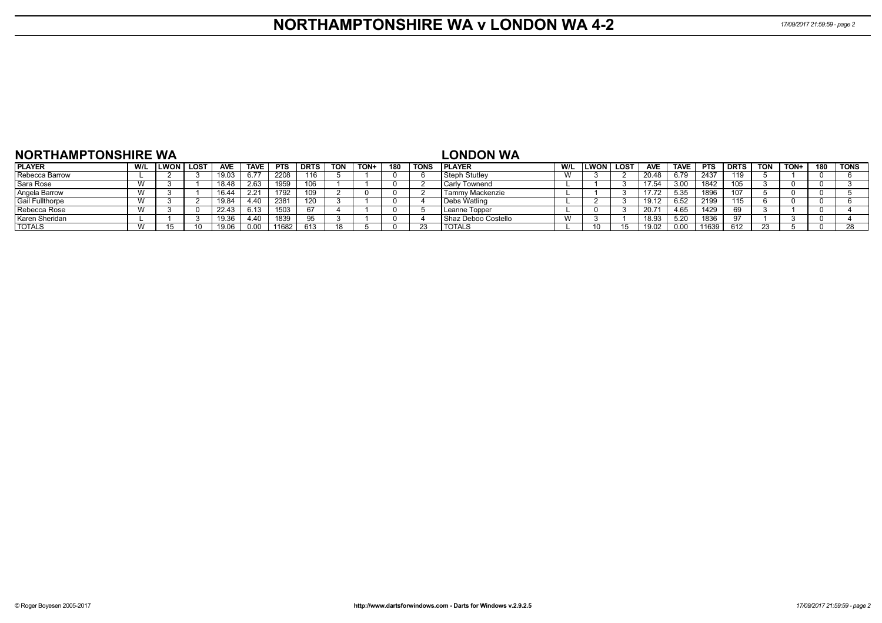## **NORTHAMPTONSHIRE WA v LONDON WA 4-2** *17/09/2017 21:59:59 - page 2*

| <b>NORTHAMPTONSHIRE WA</b> |                |      |             |            |             |            |             |            |             |     |             | <b>LONDON WA</b>     |                             |      |      |            |             |            |             |            |      |     |             |
|----------------------------|----------------|------|-------------|------------|-------------|------------|-------------|------------|-------------|-----|-------------|----------------------|-----------------------------|------|------|------------|-------------|------------|-------------|------------|------|-----|-------------|
| <b>PLAYER</b>              | W/L            | LWON | <b>LOST</b> | <b>AVE</b> | <b>TAVE</b> | <b>PTS</b> | <b>DRTS</b> | <b>TON</b> | <b>TON+</b> | 180 | <b>TONS</b> | <b>IPLAYER</b>       | W/L                         | ∟WON | LOST | <b>AVE</b> | <b>TAVE</b> | <b>PTS</b> | <b>DRTS</b> | <b>TON</b> | TON+ | 180 | <b>TONS</b> |
| Rebecca Barrow             |                |      |             | 19.03      |             | 2208       | 116         |            |             |     |             | Steph Stutley        | $\overline{M}$<br><b>VV</b> |      |      | 20.48      | 6.79        | 2437       | 119         |            |      |     |             |
| Sara Rose                  | $\overline{M}$ |      |             | 18.48      | 2.63        | 1959       |             |            |             |     |             | <b>Carly Townend</b> |                             |      |      | 17.54      | 3.00        | 1842       | טטו         |            |      |     |             |
| Angela Barrow              | $\overline{M}$ |      |             | 16.44      | 2.21        | 1792       |             |            |             |     |             | Tammy Mackenzie      |                             |      |      |            | 5.35        | 1896       |             |            |      |     |             |
| <b>Gail Fullthorpe</b>     | $\overline{M}$ |      |             | 19.84      | 4.40        | 2381       | 120         |            |             |     |             | Debs Watling         |                             |      |      | 19.12      | 6.52        | 2199       | 15          |            |      |     |             |
| Rebecca Rose               | $\mathcal{M}$  |      |             | 22.43      |             | 1503       | 67          |            |             |     |             | Leanne Topper        |                             |      |      | 20.71      | 4.65        | 1429       |             |            |      |     |             |
| Karen Sheridan             |                |      |             | 19.36      | 4.40        | 1839       | 95          |            |             |     |             | Shaz Deboo Costello  | W                           |      |      | 18.93      | 5.20        | 1836       |             |            |      |     |             |
| <b>TOTALS</b>              | W              |      |             | 19.06      |             | 11682      | 613         | 18         |             |     |             | <b>TOTALS</b>        |                             |      |      | 19.02      | 0.00        | 11639      | 612         |            |      |     |             |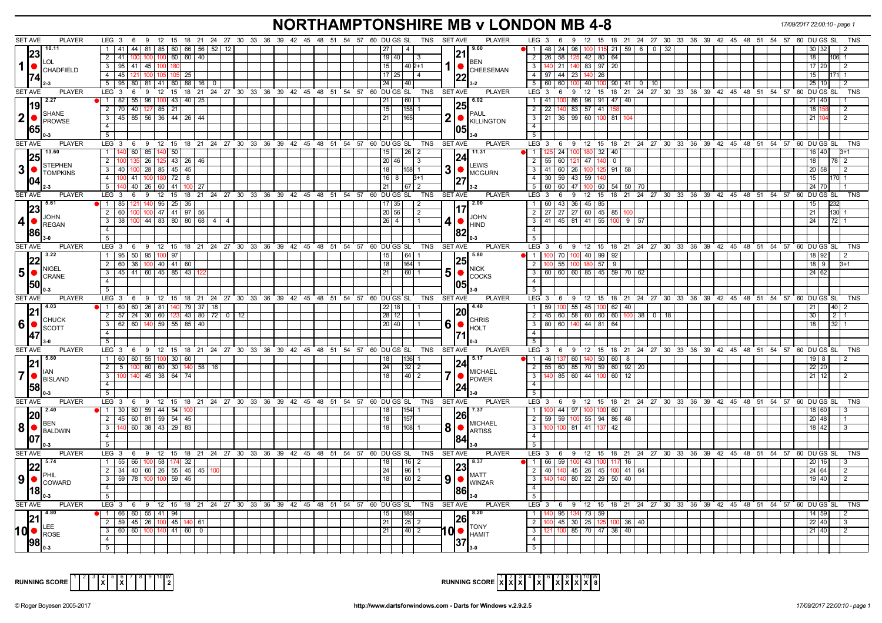### **NORTHAMPTONSHIRE MB v LONDON MB 4-8** *17/09/2017 22:00:10 - page 1*

| <b>SET AVE</b><br><b>PLAYER</b>                                                                                                                                                                                                                                                                                                                                           | LEG 3 6 9 12 15 18 21 24 27 30 33 36 39 42 45 48 51 54 57 60 DUGS SL            |    |  |                                                                                 | TNS SET AVE<br><b>PLAYER</b>          | $LEG_36$<br>9 12 15 18 21 24 27 30 33 36 39 42 45 48 51 54 57 60 DU GS SL                           |                    |  |  |                 | TNS            |
|---------------------------------------------------------------------------------------------------------------------------------------------------------------------------------------------------------------------------------------------------------------------------------------------------------------------------------------------------------------------------|---------------------------------------------------------------------------------|----|--|---------------------------------------------------------------------------------|---------------------------------------|-----------------------------------------------------------------------------------------------------|--------------------|--|--|-----------------|----------------|
| 10.11                                                                                                                                                                                                                                                                                                                                                                     | 1   41   44   81   85   60   66   56   52   12                                  |    |  |                                                                                 | 9.60                                  | 48 24 96 100                                                                                        | $115$ 21 59 6 0 32 |  |  |                 |                |
| 23                                                                                                                                                                                                                                                                                                                                                                        | $2 \mid 41$<br>100 60 60 40                                                     |    |  | 19 40                                                                           | 121                                   | 42 80<br>64<br>$\overline{2}$<br>  26  <br>58                                                       |                    |  |  |                 |                |
| <b>LOL</b><br>$1$ $\bullet$ $\phantom{1}$ $\phantom{1}$ $\phantom{1}$ $\phantom{1}$ $\phantom{1}$ $\phantom{1}$ $\phantom{1}$ $\phantom{1}$ $\phantom{1}$ $\phantom{1}$ $\phantom{1}$ $\phantom{1}$ $\phantom{1}$ $\phantom{1}$ $\phantom{1}$ $\phantom{1}$ $\phantom{1}$ $\phantom{1}$ $\phantom{1}$ $\phantom{1}$ $\phantom{1}$ $\phantom{1}$ $\phantom{1}$ $\phantom{$ | 3 95 41 45 100                                                                  |    |  | 15<br>$1402+1$                                                                  | <b>BEN</b>                            | 140 21 140 83 97 20<br>$\mathbf{3}$                                                                 |                    |  |  | 17120           |                |
|                                                                                                                                                                                                                                                                                                                                                                           | 4 4 5 121 100 105 105 25                                                        |    |  | 17 <sup>1</sup>                                                                 | CHEESEMAN                             | 4   97   44   23   140  <br>26                                                                      |                    |  |  |                 |                |
| $\mathbf{T}$ 2-3                                                                                                                                                                                                                                                                                                                                                          | 5 95 80 81 41 60 88 16 0                                                        |    |  | $\overline{24}$<br>140                                                          |                                       | 5 60 60 100 40 100 90 41 0 10                                                                       |                    |  |  | 25 10           |                |
| <b>SET AVE</b><br><b>PLAYER</b>                                                                                                                                                                                                                                                                                                                                           | $LEG_3$ 6                                                                       |    |  | 9 12 15 18 21 24 27 30 33 36 39 42 45 48 51 54 57 60 DUGS SL                    | <b>PLAYER</b><br>TNS SET AVE          | LEG 3 6 9 12 15 18 21 24 27 30 33 36 39 42 45 48 51 54 57 60 DUGS SL                                |                    |  |  |                 | <b>TNS</b>     |
| $^{1}19$ <sup>2.27</sup>                                                                                                                                                                                                                                                                                                                                                  | 1 82 55 96 100 43 40 25                                                         |    |  | 60 <br> 21                                                                      | $\sqrt{6.02}$                         | 100 86 96 91 47 40<br>$\overline{1}$                                                                |                    |  |  |                 |                |
|                                                                                                                                                                                                                                                                                                                                                                           | 2 70 40 127 85 21                                                               |    |  | 15<br>$158$ 1                                                                   |                                       | $\overline{2}$<br>22   140   83   57   41   158                                                     |                    |  |  | 18              |                |
| SHANE<br>$ 2 $ $\bullet$ $ _{\text{PROWSE}}$                                                                                                                                                                                                                                                                                                                              | 3   45   85   56   36   44   26   44                                            |    |  | 21 <br>165                                                                      | <b>PAUL</b><br>2                      | $3$   21   36   99   60   100   81   104                                                            |                    |  |  | 21              |                |
|                                                                                                                                                                                                                                                                                                                                                                           | 4 <sup>1</sup>                                                                  |    |  |                                                                                 | KILLINGTON                            | $\overline{4}$                                                                                      |                    |  |  |                 |                |
| 165                                                                                                                                                                                                                                                                                                                                                                       | 5 <sub>1</sub>                                                                  |    |  |                                                                                 |                                       | 5 <sup>1</sup>                                                                                      |                    |  |  |                 |                |
| <b>SET AVE</b><br><b>PLAYER</b>                                                                                                                                                                                                                                                                                                                                           | LEG 3 6 9 12 15 18 21 24 27 30 33 36 39 42 45 48 51 54 57 60 DUGS SL            |    |  |                                                                                 | TNS SET AVE<br><b>PLAYER</b>          | LEG 3 6 9 12 15 18 21 24 27 30 33 36 39 42 45 48 51 54 57 60 DUGS SL                                |                    |  |  |                 | <b>TNS</b>     |
| 13.60                                                                                                                                                                                                                                                                                                                                                                     | 1   140 60   85   140   50                                                      |    |  | 26 2<br>  15                                                                    | 11.31                                 | 24   100   180   32   40  <br>  1   125                                                             |                    |  |  | 16   40         |                |
|                                                                                                                                                                                                                                                                                                                                                                           | 2 100 135<br>$\mid$ 26   125   43   26   46                                     |    |  | 20 46 <br>$\vert$ 3                                                             | 24                                    | 2 55 60 121 47 140<br>$\overline{0}$                                                                |                    |  |  | 18              | 78 2           |
| <b>STEPHEN</b><br>$3$ $\bullet$ $\frac{1}{10}$ TOMPKINS                                                                                                                                                                                                                                                                                                                   | 3   40   100   28   85   45   45                                                |    |  | 18 <br> 158  1                                                                  | <b>LEWIS</b><br>31<br><b>O</b> MCGURN | 3 41 60 26 100<br>125 91 58                                                                         |                    |  |  | 20 58           |                |
|                                                                                                                                                                                                                                                                                                                                                                           | 4   100   41   100   180   72   8                                               |    |  | $16$   8<br>$3+1$                                                               |                                       | 4 30 59 43 59 140                                                                                   |                    |  |  | 15 <sub>l</sub> |                |
| l 2-3                                                                                                                                                                                                                                                                                                                                                                     | 5 140 40 26 60 41 100                                                           | 27 |  | 21<br> 67 2                                                                     | $3 - 2$                               | 60   60   47   100   60   54   50   70<br>5                                                         |                    |  |  | 24 70           |                |
| <b>SET AVE</b><br><b>PLAYER</b>                                                                                                                                                                                                                                                                                                                                           |                                                                                 |    |  | LEG 3 6 9 12 15 18 21 24 27 30 33 36 39 42 45 48 51 54 57 60 DUGS SL TNS SETAVE | <b>PLAYER</b>                         | $LEG \ 3 \ 6$<br>9 12 15 18 21 24 27 30 33 36 39 42 45 48 51 54 57 60 DUGS SL                       |                    |  |  |                 | <b>TNS</b>     |
| 5.61                                                                                                                                                                                                                                                                                                                                                                      | 1   85   121   140   95   25   35                                               |    |  | $17$ 35<br>$\vert 2 \vert$                                                      | 2.00                                  | 1 60 43 36 45 85                                                                                    |                    |  |  |                 |                |
|                                                                                                                                                                                                                                                                                                                                                                           | 2 60 100 100 47 41 97 56                                                        |    |  | 20 56<br>$\vert$ 2                                                              |                                       | 2   27   27   27   60   45   85   100                                                               |                    |  |  |                 |                |
| <b>JOHN</b><br>4 <sup>1</sup>                                                                                                                                                                                                                                                                                                                                             | $3 \mid 38 \mid 100 \mid 44 \mid 83 \mid 80 \mid 80 \mid 68 \mid 4 \mid 4$      |    |  | $26 \mid 4$                                                                     | <b>JOHN</b><br>4<br><b>HIND</b>       | 3 41 45 81 41 55 100 9 57                                                                           |                    |  |  | 24              | 72             |
| REGAN<br>1861                                                                                                                                                                                                                                                                                                                                                             | $\overline{4}$                                                                  |    |  |                                                                                 |                                       | $\overline{4}$                                                                                      |                    |  |  |                 |                |
| $3-0$                                                                                                                                                                                                                                                                                                                                                                     | 5 <sub>1</sub>                                                                  |    |  |                                                                                 |                                       | $5^{\circ}$                                                                                         |                    |  |  |                 |                |
| <b>SET AVE</b><br><b>PLAYER</b>                                                                                                                                                                                                                                                                                                                                           | LEG 3 6 9 12 15 18 21 24 27 30 33 36 39 42 45 48 51 54 57 60 DUGS SL            |    |  | TNS                                                                             | <b>SET AVE</b><br><b>PLAYER</b>       | LEG 3 6 9 12 15 18 21 24 27 30 33 36 39 42 45 48 51 54 57 60 DUGS SL                                |                    |  |  |                 | TNS            |
| 3.22                                                                                                                                                                                                                                                                                                                                                                      | 1 95 50 95 100 97                                                               |    |  | 64 1<br>15                                                                      | 5.80<br> 25                           | 1   100   70   100   40   99   92                                                                   |                    |  |  | 18 92           |                |
| NIGEL                                                                                                                                                                                                                                                                                                                                                                     | 2 60 36 100 40 41 60                                                            |    |  | 18<br>164 1                                                                     | <b>NICK</b>                           | $100$ 55<br>100 180 57<br>2 <sup>1</sup><br>9                                                       |                    |  |  | 18 9            | 3+1            |
| $50$ $\degree$ $\degree$ $\degree$ $\degree$ $\degree$                                                                                                                                                                                                                                                                                                                    | 3 45 41 60 45 85 43                                                             |    |  | 21<br>$\boxed{60}$ 1                                                            | 5<br>$\bullet$<br><b>COCKS</b>        | $\overline{\mathbf{3}}$<br>60 60 60 85 45 59 70 62                                                  |                    |  |  | 24 62           |                |
|                                                                                                                                                                                                                                                                                                                                                                           | $\overline{4}$                                                                  |    |  |                                                                                 |                                       | $\overline{4}$                                                                                      |                    |  |  |                 |                |
|                                                                                                                                                                                                                                                                                                                                                                           | 5                                                                               |    |  |                                                                                 |                                       |                                                                                                     |                    |  |  |                 |                |
| <b>SET AVE</b><br><b>PLAYER</b>                                                                                                                                                                                                                                                                                                                                           | LEG 3 6 9 12 15 18 21 24 27 30 33 36 39 42 45 48 51 54 57 60 DUGS SL TNS SETAVE |    |  |                                                                                 | <b>PLAYER</b>                         | LEG 3 6 9 12 15 18 21 24 27 30 33 36 39 42 45 48 51 54 57 60 DUGS SL                                |                    |  |  |                 | TNS            |
|                                                                                                                                                                                                                                                                                                                                                                           |                                                                                 |    |  |                                                                                 |                                       |                                                                                                     |                    |  |  |                 |                |
| 14.03                                                                                                                                                                                                                                                                                                                                                                     | 1 60 60 26 81 140 79 37 18                                                      |    |  | 18                                                                              | 14.40                                 | 100 55 45 100 62 40<br>59                                                                           |                    |  |  |                 | 40             |
|                                                                                                                                                                                                                                                                                                                                                                           | 2   57   24   30   60   123   43   80   72   0   12                             |    |  | $28$ 12                                                                         | 120                                   | 2   45   60   58   60   60   60   100   38   0   18                                                 |                    |  |  |                 | $\overline{2}$ |
| <b>CHUCK</b><br><b>60</b>                                                                                                                                                                                                                                                                                                                                                 | 3   62   60   140   59   55   85   40                                           |    |  | 20 40                                                                           | <b>CHRIS</b><br>6<br>O<br><b>HOLT</b> | 3   80   60   140   44   81   64                                                                    |                    |  |  | 18              |                |
| SCOTT                                                                                                                                                                                                                                                                                                                                                                     | 4 I                                                                             |    |  |                                                                                 |                                       | $\overline{4}$                                                                                      |                    |  |  |                 |                |
| 47                                                                                                                                                                                                                                                                                                                                                                        | 5 <sup>1</sup>                                                                  |    |  |                                                                                 |                                       | $-5$                                                                                                |                    |  |  |                 |                |
| <b>SET AVE</b><br><b>PLAYER</b>                                                                                                                                                                                                                                                                                                                                           | LEG 3 6 9 12 15 18 21 24 27 30 33 36 39 42 45 48 51 54 57 60 DUGS SL            |    |  |                                                                                 | <b>PLAYER</b><br>TNS SET AVE          | LEG 3 6 9 12 15 18 21 24 27 30 33 36 39 42 45 48 51 54 57 60 DU GS SL                               |                    |  |  |                 | TNS            |
| $\sqrt{5.80}$                                                                                                                                                                                                                                                                                                                                                             | 1 60 60 55 100 30 60                                                            |    |  | 136  1<br>18                                                                    | l 5.17                                | 1   46   137   60   140   50   60   8                                                               |                    |  |  | 19   8          |                |
| 21<br>l IAN                                                                                                                                                                                                                                                                                                                                                               | 2 5 100 60 60 30 140 58 16                                                      |    |  | 24 <br>  32   2                                                                 | <b>MICHAEL</b>                        | 2   55   60   85   70   59   60   92   20                                                           |                    |  |  | 22 20           |                |
| $\overline{7}$                                                                                                                                                                                                                                                                                                                                                            | 3 100 140 45 38 64 74                                                           |    |  | 18<br>$\vert 40 \vert 2$                                                        | <b>POWER</b>                          | $3   140   85   60   44   100   60   12$                                                            |                    |  |  | $21 \ 12$       |                |
| <b>O</b> BISLAND<br> 58                                                                                                                                                                                                                                                                                                                                                   | 4 I                                                                             |    |  |                                                                                 |                                       | 4                                                                                                   |                    |  |  |                 |                |
| $0 - 3$                                                                                                                                                                                                                                                                                                                                                                   | $5\sqrt{2}$                                                                     |    |  |                                                                                 |                                       | 5                                                                                                   |                    |  |  |                 |                |
| <b>SET AVE</b><br><b>PLAYER</b>                                                                                                                                                                                                                                                                                                                                           | LEG 3 6 9 12 15 18 21 24 27 30 33 36 39 42 45 48 51 54 57 60 DUGS SL            |    |  |                                                                                 | TNS SET AVE<br><b>PLAYER</b>          | 9 12 15 18 21 24 27 30 33 36 39 42 45 48 51 54 57 60 DUGSSL<br>$LEG_3$ 6                            |                    |  |  |                 | <b>TNS</b>     |
| 12.40<br><b>20</b>                                                                                                                                                                                                                                                                                                                                                        | $\bullet$ 1 30 60 59 44 54 100                                                  |    |  | 154  1<br>18                                                                    | 17.37<br>1261                         | 100 44 97 100 100<br>60<br>$\overline{1}$                                                           |                    |  |  | 18 60           |                |
| <b>I</b> BEN                                                                                                                                                                                                                                                                                                                                                              | 2 45 60 81 59 54 45                                                             |    |  | 18<br>157                                                                       | <b>MICHAEL</b>                        | 59 100 55 94 86 48<br>$\overline{2}$<br>59                                                          |                    |  |  | 20 48           |                |
| $8 \, \text{B}$ $\text{B}$ $\text{B}$ $\text{B}$ $\text{B}$ $\text{B}$                                                                                                                                                                                                                                                                                                    | 140 60 38 43 29 83<br>3 <sup>1</sup>                                            |    |  | 108 1<br>18                                                                     | 8<br><b>ARTISS</b>                    | 100 81 41 137<br>42<br>$\overline{\mathbf{3}}$                                                      |                    |  |  | 18 42           |                |
| 107                                                                                                                                                                                                                                                                                                                                                                       | 4                                                                               |    |  |                                                                                 |                                       | $\overline{4}$                                                                                      |                    |  |  |                 |                |
| ll 0-3                                                                                                                                                                                                                                                                                                                                                                    | 5 <sup>1</sup>                                                                  |    |  |                                                                                 |                                       |                                                                                                     |                    |  |  |                 |                |
| SET AVE<br><b>PLAYER</b>                                                                                                                                                                                                                                                                                                                                                  | LEG 3 6 9 12 15 18 21 24 27 30 33 36 39 42 45 48 51 54 57 60 DUGS SL            |    |  |                                                                                 | <b>PLAYER</b><br>TNS SET AVE          | LEG 3 6 9 12 15 18 21 24 27 30 33 36 39 42 45 48 51 54 57 60 DUGS SL                                |                    |  |  |                 | <b>TNS</b>     |
|                                                                                                                                                                                                                                                                                                                                                                           | 1   55   66   100   58   174   32                                               |    |  | 16 2<br>18                                                                      |                                       | $66$ 59 100 43 100<br>I 1                                                                           | 117 16             |  |  |                 |                |
| PHIL                                                                                                                                                                                                                                                                                                                                                                      | 2 34 40 60 26 55 45 45<br>3 59 78 100 100 59 45                                 |    |  | 24<br> 96 1<br>$\overline{60}$ 2<br>18                                          | <b>MATT</b>                           | 40   140   45   26   45   100   41   64<br>$\overline{2}$<br>3   140   140   80   22   29   50   40 |                    |  |  | 24 64<br>19 40  |                |
| $\vert 9 \vert$ $\bullet$ $\vert_{\text{COMARD}}$                                                                                                                                                                                                                                                                                                                         | $\overline{4}$                                                                  |    |  |                                                                                 | 9<br>$\blacksquare$ WINZAR            | $\overline{4}$                                                                                      |                    |  |  |                 |                |
| l 0-3                                                                                                                                                                                                                                                                                                                                                                     | 5                                                                               |    |  |                                                                                 |                                       | 5                                                                                                   |                    |  |  |                 |                |
| <b>SET AVE</b><br><b>PLAYER</b>                                                                                                                                                                                                                                                                                                                                           |                                                                                 |    |  | LEG 3 6 9 12 15 18 21 24 27 30 33 36 39 42 45 48 51 54 57 60 DUGS SL TNS SETAVE | <b>PLAYER</b>                         | LEG 3 6 9 12 15 18 21 24 27 30 33 36 39 42 45 48 51 54 57 60 DUGS SL                                |                    |  |  |                 | TNS            |
| 4.80                                                                                                                                                                                                                                                                                                                                                                      | $\bullet$ 1 66 60 55 41 94                                                      |    |  | l 15 l                                                                          | 8.20                                  | 1   140   95   134   73   59                                                                        |                    |  |  | 14 59           |                |
|                                                                                                                                                                                                                                                                                                                                                                           | 2 59 45 26 100 45 140 61                                                        |    |  | 25 2<br>21                                                                      | 1261                                  | $\overline{2}$<br>$\vert$ 45   30   25   125   100   36   40                                        |                    |  |  | 22 40           |                |
| LEE                                                                                                                                                                                                                                                                                                                                                                       | 3   60   60   100   140   41   60   0                                           |    |  | 21<br> 40 2                                                                     | <b>TONY</b>                           | $3 \mid 121$<br>100 85 70 47 38 40                                                                  |                    |  |  | 21 40           |                |
| $10o$ $ _{\text{ROSE}}$                                                                                                                                                                                                                                                                                                                                                   | 4                                                                               |    |  |                                                                                 | $10\bullet$ $\blacksquare$            | $\overline{4}$                                                                                      |                    |  |  |                 |                |



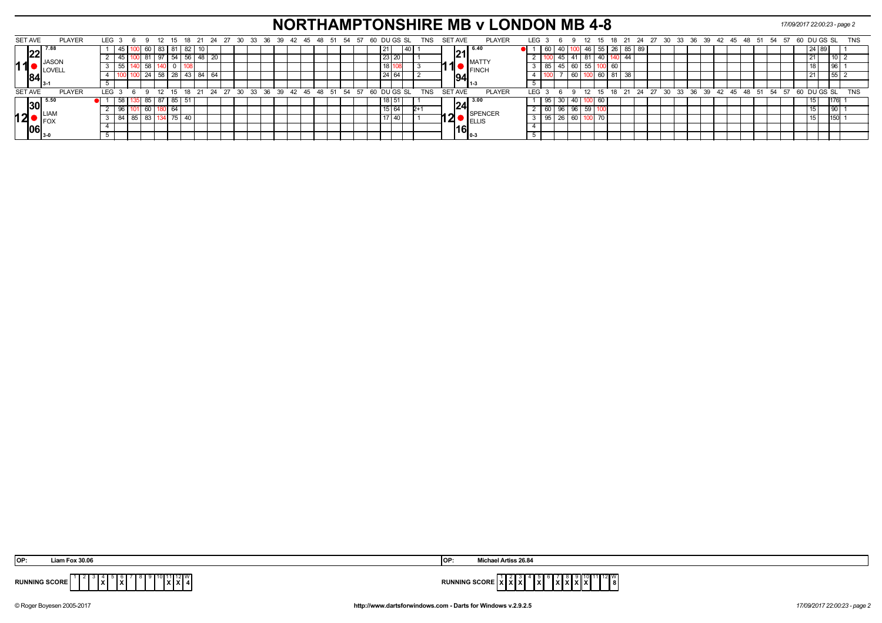# **NORTHAMPTONSHIRE MB v LONDON MB 4-8** *17/09/2017 22:00:23 - page 2*

| SET AVE        |           | <b>PLAYER</b> | LEG <sub>3</sub> |        | n. |       | 12           | -15  | 18 21   |             | 24 27 30 |  |  | 33 36 39 42 45 48 51 54 57                        |  |  |  |  | 60 DU GS SL | TNS        | <b>SET AVE</b> |                   | <b>PLAYER</b>       | LEG |      |                   |                 |        | 12 15      |    |    |         |  | 18 21 24 27 30 33 36 39 42 45 48 51             |  |  |  |  | 54 57 | 60 DU GS SL |               |  | TNS        |  |
|----------------|-----------|---------------|------------------|--------|----|-------|--------------|------|---------|-------------|----------|--|--|---------------------------------------------------|--|--|--|--|-------------|------------|----------------|-------------------|---------------------|-----|------|-------------------|-----------------|--------|------------|----|----|---------|--|-------------------------------------------------|--|--|--|--|-------|-------------|---------------|--|------------|--|
|                | ിററി      |               |                  |        |    |       | 60   83   81 |      | 82   10 |             |          |  |  |                                                   |  |  |  |  |             |            |                | 21                | l 6.40              |     | ∣ ∪o |                   |                 |        | -40 - 55 - |    | 26 | 55 I 69 |  |                                                 |  |  |  |  |       |             | 248           |  |            |  |
|                |           | <b>JASON</b>  |                  |        |    | -81   |              | - 54 | 56      | 20          |          |  |  |                                                   |  |  |  |  |             |            |                |                   | <b>MATTY</b>        |     |      |                   |                 | -81    |            |    |    |         |  |                                                 |  |  |  |  |       |             |               |  |            |  |
| 111            |           |               |                  |        |    | 58 I  |              |      |         |             |          |  |  |                                                   |  |  |  |  |             |            | <b>A</b>       |                   | <sup>'</sup> IFINCH |     | ດລ   |                   | 60              | -55 L' |            | 60 |    |         |  |                                                 |  |  |  |  |       |             |               |  |            |  |
|                |           |               |                  |        |    |       | 24   58      |      |         | 28 43 84 64 |          |  |  |                                                   |  |  |  |  |             |            |                | 1941              |                     |     |      |                   | 60              |        |            |    | 81 |         |  |                                                 |  |  |  |  |       |             |               |  |            |  |
|                |           |               |                  |        |    |       |              |      |         |             |          |  |  |                                                   |  |  |  |  |             |            |                |                   | -1-3                |     |      |                   |                 |        |            |    |    |         |  |                                                 |  |  |  |  |       |             |               |  |            |  |
| <b>SET AVE</b> |           | <b>PLAYER</b> | LEG <sub>3</sub> |        |    |       |              |      |         |             |          |  |  | 9 12 15 18 21 24 27 30 33 36 39 42 45 48 51 54 57 |  |  |  |  | 60 DUGS SL  | <b>TNS</b> | <b>SET AVE</b> |                   | <b>PLAYER</b>       | LEG |      |                   |                 |        |            |    |    |         |  | 12 15 18 21 24 27 30 33 36 39 42 45 48 51 54 57 |  |  |  |  |       |             | $60$ DU GS SL |  | <b>TNS</b> |  |
|                | <b>30</b> | $-5.50$       |                  | 58 135 |    |       | 85 87        | 85   | l 51    |             |          |  |  |                                                   |  |  |  |  |             |            |                |                   | $\sqrt{24}^{3.00}$  |     | 95 I |                   | 40              |        |            |    |    |         |  |                                                 |  |  |  |  |       |             |               |  |            |  |
|                |           | I IAN         |                  |        |    |       |              |      |         |             |          |  |  |                                                   |  |  |  |  |             |            |                |                   | <b>SPENCER</b>      |     | 60 I |                   | 96 <sub>1</sub> | 59     |            |    |    |         |  |                                                 |  |  |  |  |       |             |               |  |            |  |
| 12             |           | <b>IFO</b>    |                  |        | 85 | -83 I |              | 75   | 40      |             |          |  |  |                                                   |  |  |  |  |             |            | 12             |                   |                     |     | 95   | $\overline{26}$ . | 60              |        |            |    |    |         |  |                                                 |  |  |  |  |       |             |               |  |            |  |
|                | 06        |               |                  |        |    |       |              |      |         |             |          |  |  |                                                   |  |  |  |  |             |            |                | <sup>!16</sup> ြု |                     |     |      |                   |                 |        |            |    |    |         |  |                                                 |  |  |  |  |       |             |               |  |            |  |
|                |           |               |                  |        |    |       |              |      |         |             |          |  |  |                                                   |  |  |  |  |             |            |                |                   |                     |     |      |                   |                 |        |            |    |    |         |  |                                                 |  |  |  |  |       |             |               |  |            |  |

| <b>Eox 30.06</b>                               | <b>Artiss 26.84</b>                            |
|------------------------------------------------|------------------------------------------------|
| OP:                                            | <b>OP:</b>                                     |
| 12 I W<br><b>RUNNING SCORE</b><br>$\mathbf{r}$ | ≀∠∎∨<br><b>DUMMING</b><br>.<br>^ * *<br>.<br>. |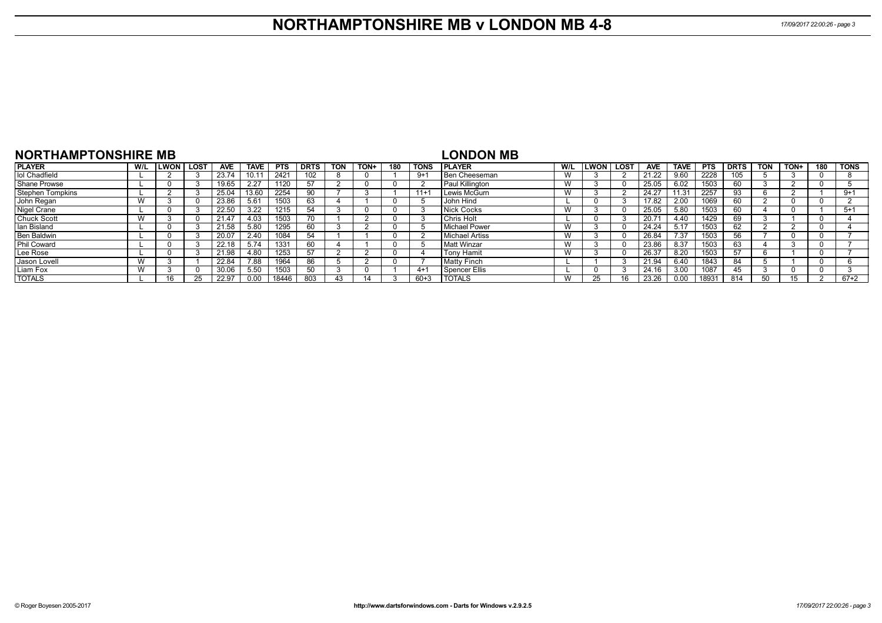| <b>NORTHAMPTONSHIRE MB</b> |     |             |             |       |             |            |             |            |      |     |             | LONDON MB          |     |      |             |            |             |            |             |            |      |     |             |
|----------------------------|-----|-------------|-------------|-------|-------------|------------|-------------|------------|------|-----|-------------|--------------------|-----|------|-------------|------------|-------------|------------|-------------|------------|------|-----|-------------|
| <b>PLAYER</b>              | W/L | <b>LWON</b> | <b>LOST</b> | AVE   | <b>TAVE</b> | <b>PTS</b> | <b>DRTS</b> | <b>TON</b> | TON+ | 180 | <b>TONS</b> | <b>IPLAYER</b>     | W/L | LWON | <b>LOST</b> | <b>AVE</b> | <b>TAVE</b> | <b>PTS</b> | <b>DRTS</b> | <b>TON</b> | TON+ | 180 | <b>TONS</b> |
| lol Chadfield              |     |             |             | 23.74 | 10.11       | 2421       | 102         |            |      |     | 9+1         | Ben Cheeseman      | w   |      |             | 21.22      | 9.60        | 2228       | 105         |            |      |     |             |
| <b>Shane Prowse</b>        |     |             |             | 19.65 | 2.27        | 1120       | -57         |            |      |     |             | Paul Killington    | W   |      |             | 25.05      | 6.02        | 1503       |             |            |      |     |             |
| <b>Stephen Tompkins</b>    |     |             |             | 25.04 | 13.60       | 2254       | 90          |            |      |     | $11 +$      | Lewis McGurn       | W   |      |             | 24.27      | 1.31        | 2257       | 93          |            |      |     | $9 + 1$     |
| John Regan                 |     |             |             | 23.86 | 5.61        | 1503       | 63          |            |      |     |             | <b>John Hind</b>   |     |      |             | 17.82      | 2.00        | 1069       | 60          |            |      |     |             |
| Nigel Crane                |     |             |             | 22.50 | 3.22        | 1215       | 54          |            |      |     |             | Nick Cocks         | W   |      |             | 25.05      | 5.80        | 1503       | 60          |            |      |     | $5+1$       |
| <b>Chuck Scott</b>         |     |             |             | 21.47 | 4.03        | 1503       |             |            |      |     |             | Chris Holt         |     |      |             | 20.71      | 4.40        | 1429       | 69          |            |      |     |             |
| lan Bisland                |     |             |             | 21.58 | 5.80        | 1295       | 60          |            |      |     |             | Michael Power      | W   |      |             | 24.24      | 5.17        | 1503       |             |            |      |     |             |
| <b>Ben Baldwin</b>         |     |             |             | 20.07 | 2.40        | 1084       | 54          |            |      |     |             | Michael Artiss     | W   |      |             | 26.84      | 7.37        | 1503       | 56          |            |      |     |             |
| Phil Coward                |     |             |             | 22.18 | 5.74        | 1331       | 60          |            |      |     |             | <b>Matt Winzar</b> | W   |      |             | 23.86      | 8.37        | 1503       | 63          |            |      |     |             |
| Lee Rose                   |     |             |             | 21.98 | 4.80        | 1253       | -57         |            |      |     |             | <b>Tony Hamit</b>  | W   |      |             | 26.37      | 8.20        | 1503       | 57          |            |      |     |             |
| Jason Lovell               |     |             |             | 22.84 | 7.88        | 1964       | 86          |            |      |     |             | <b>Matty Finch</b> |     |      |             | 21.94      | 6.40        | 1843       | 84          |            |      |     |             |
| Liam Fox                   |     |             |             | 30.06 | 5.50        | 1503       | 50          |            |      |     | $4+$        | Spencer Ellis      |     |      |             | 24.16      | 3.00        | 1087       |             |            |      |     |             |
| <b>TOTALS</b>              |     | 16          |             | 22.97 | 0.00        | 18446      | 803         | 43         |      |     | $60 + 3$    | <b>TOTALS</b>      | W   |      |             | 23.26      | 0.00        | 18931      | 814         |            | 15   |     | $67 + 2$    |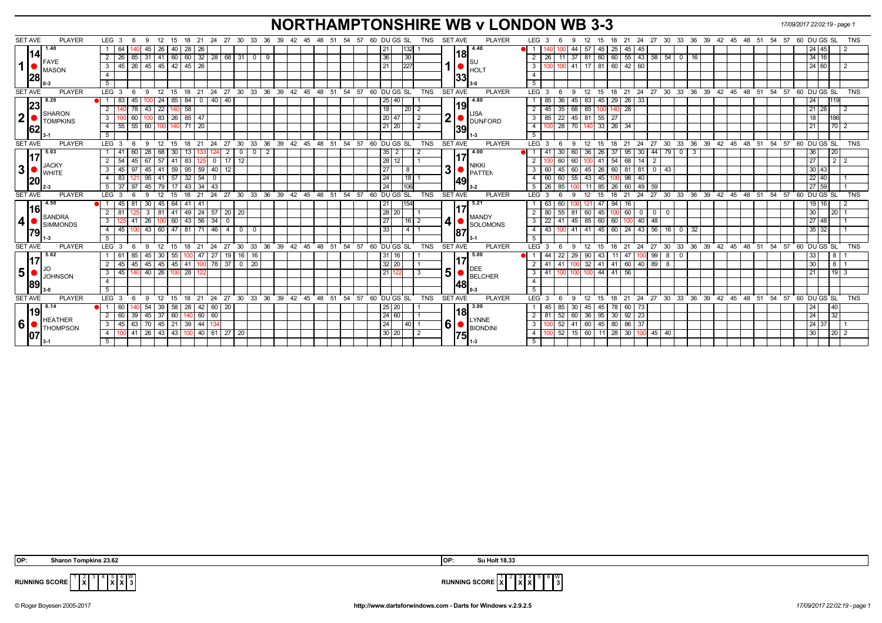# **NORTHAMPTONSHIRE WB v LONDON WB 3-3** *17/09/2017 22:02:19 - page 1*

| <b>SET AVE</b><br><b>PLAYER</b>              | LEG 3<br>12<br>6<br>- 9                               | 15<br>18 21                                         |                                    |                         | 24 27 30 33 36 39 42 45 48 51 54 57 60 DUGS SL<br>TNS                 | <b>SET AVE</b><br><b>PLAYER</b>            | LEG <sub>3</sub><br>12<br>- 15<br>9                                             |                    | 18  21  24  27  30  33  36  39  42  45  48  51  54  57  60  DU GS  SL<br><b>TNS</b> |
|----------------------------------------------|-------------------------------------------------------|-----------------------------------------------------|------------------------------------|-------------------------|-----------------------------------------------------------------------|--------------------------------------------|---------------------------------------------------------------------------------|--------------------|-------------------------------------------------------------------------------------|
| 1.40                                         | 64<br>45<br>26 I                                      | 40<br>  28   26                                     |                                    |                         | 132 <br>21                                                            | 4.40                                       | 44<br>57<br>45<br>$25$   45  <br>45                                             |                    | 24 45                                                                               |
| 1141                                         | $31 \mid 41 \mid$<br>2<br>26                          | $60 \mid 60 \mid 32 \mid 28 \mid 68 \mid 31 \mid 0$ | - 9                                |                         | 30<br>36                                                              | 18                                         | 160   60   55   43   58   54   0   16<br>37<br> 81 <br>-26                      |                    | 34 16                                                                               |
| IFAYE<br>1<br>MASON                          | 26 45 45 42 45 26<br>45 I<br>- 3 I                    |                                                     |                                    |                         | 227<br>21                                                             | <b>HOLT</b>                                | 17 81 60 42 60<br>3<br>41                                                       |                    | 24 60                                                                               |
| 28                                           | $\overline{4}$                                        |                                                     |                                    |                         |                                                                       | 33                                         | $\overline{4}$                                                                  |                    |                                                                                     |
|                                              | 5                                                     |                                                     |                                    |                         |                                                                       |                                            | 5                                                                               |                    |                                                                                     |
| <b>SET AVE</b><br><b>PLAYER</b>              | LEG <sub>3</sub><br>$^{\circ}$ 12<br>-9<br>6          |                                                     |                                    |                         | 15 18 21 24 27 30 33 36 39 42 45 48 51 54 57 60 DUGS SL<br><b>TNS</b> | <b>SET AVE</b><br><b>PLAYER</b>            | $LEG^{\prime}$ 3<br>$^{\circ}$ 12<br>9                                          |                    | 15 18 21 24 27 30 33 36 39 42 45 48 51 54 57 60 DUGS SL TNS                         |
| 8.20<br> 23                                  | 83<br>45                                              | 24   85   84   0   40   40                          |                                    |                         | 25<br>40                                                              | 4.80<br>19                                 | 45 29 26 33<br>$45$ 83<br>36<br>85                                              |                    | 24 <sub>1</sub>                                                                     |
| SHARON                                       | $\overline{2}$<br>78<br> 43                           | 22   140   58                                       |                                    |                         | 18<br>$\sqrt{20}$ 2                                                   |                                            | 68 85<br>35<br>$\overline{28}$<br>2<br>45<br>140                                |                    | $21 \ 28$                                                                           |
| 2 <sub>l</sub><br>TOMPKINS                   | 3 <sup>1</sup><br>60                                  | $100$ 83 26 85 47                                   |                                    |                         | 20 47<br>$\vert$ 2                                                    | $12$ $\bullet$ $\overline{\text{DUNFORD}}$ | 22 45 81 55 27<br>3<br>85                                                       |                    | 186<br>18                                                                           |
| 162                                          | 55 55 60 100 140 71 20<br>4 I                         |                                                     |                                    |                         | 21 20<br>$\overline{2}$                                               | 39                                         | $\overline{4}$<br>28 70 140 33 26 34                                            |                    | 21<br>$70$ 2                                                                        |
|                                              | 5 <sup>5</sup>                                        |                                                     |                                    |                         |                                                                       | l 1-3                                      | 5                                                                               |                    |                                                                                     |
| <b>SET AVE</b><br><b>PLAYER</b>              | LEG <sub>3</sub><br>12<br>- 9<br>6                    | 15                                                  |                                    |                         | 18 21 24 27 30 33 36 39 42 45 48 51 54 57 60 DUGS SL<br>TNS           | <b>SET AVE</b><br><b>PLAYER</b>            | $LEG_3$<br>12<br>9<br>15                                                        |                    | 18 21 24 27 30 33 36 39 42 45 48 51 54 57 60 DUGS SL<br><b>TNS</b>                  |
| 5.03                                         | 28<br>68 I<br>60                                      | 30                                                  | $\overline{2}$<br>2<br>$\mathbf 0$ |                         | $35 \mid 2$                                                           | 4.00                                       | 95<br>30 <sub>1</sub><br>30<br>-36<br>26<br>-37                                 | 79 0 3<br>44       | 20<br>36                                                                            |
| <b>JACKY</b>                                 | $\overline{2}$<br>54<br>45   67   57   41             | 83 <br>$\overline{0}$<br>1251                       | $17$ 12                            |                         | 28<br>12                                                              | <b>NIKKI</b>                               | 41 54 68 14<br>60<br>60                                                         | $\overline{2}$     | 27<br>$2$   2                                                                       |
| 3 <sup>2</sup><br><b>WHITE</b>               | 45<br>3<br>97                                         | 45 41 59 95 59 40                                   | - 12                               |                         | $\overline{27}$<br>8                                                  | 3<br><b>PATTEM</b>                         | 3<br>26<br>$60$   81   81   0<br>60<br>45<br>60<br>45                           | l 43               | 30 43                                                                               |
| <b>20</b>                                    | $95 \mid 41 \mid 57$<br>83<br>4 I<br>121              | $32 \mid 54 \mid 0$                                 |                                    |                         | $\overline{24}$<br> 18                                                | 149                                        | 45 100 98<br>$\overline{4}$<br>60<br>$55 \mid 43 \mid$<br>40<br>$\overline{60}$ |                    | $22 \mid 40$                                                                        |
|                                              | $5 \times 37 \times 97$                               | 45   79   17   43   34   43                         |                                    |                         | $\overline{24}$<br>106                                                | $3 - 2$                                    | 11 85 26 60 49 59<br>5<br>$\sqrt{26}$<br>85                                     |                    | 27 59                                                                               |
| <b>SET AVE</b><br><b>PLAYER</b>              | LEG <sub>3</sub><br>-9<br>12<br>-6                    | 18<br>$^{\circ}$ 21<br>15                           |                                    |                         | 24 27 30 33 36 39 42 45 48 51 54 57 60 DUGS SL<br><b>TNS</b>          | <b>SET AVE</b><br><b>PLAYER</b>            | 24<br>LEG <sup>3</sup><br>12<br>18<br>21<br>9<br>15                             |                    | 27 30 33 36 39 42 45 48 51 54 57 60 DUGS SL<br><b>TNS</b>                           |
| 4.50                                         | 45<br>30                                              | 45 64 41 41                                         |                                    |                         | 21<br>154                                                             | 5.21                                       | 47<br>94<br>63<br>60<br>$\overline{1}$ 16<br>  12                               |                    | $19$ 16                                                                             |
| 16 <br>SANDRA                                | 2 <sup>1</sup><br>3   81   41<br>81                   | $149$ $24$ 57 20 20                                 |                                    |                         | 28 20                                                                 | <b>MANDY</b>                               | $\overline{2}$<br>80<br>45 100<br>$\sqrt{60}$ 0 0 0<br>55<br>81<br>60           | $\overline{0}$     | 30 <sup>7</sup><br>$20$   1                                                         |
| 4 <br><b>ISIMMONDS</b>                       | 3<br>41                                               | 26   100   60   43   56   34                        | $\overline{\mathbf{0}}$            |                         | 27<br> 16 2                                                           | 4<br><b>SOLOMONS</b>                       | 45 85 60 60 100<br>$\overline{3}$<br>22<br>$40 \mid 48$<br>41                   |                    | 27 48                                                                               |
| 1791                                         | 45<br>4 <sup>1</sup>                                  | $100$ 43 60 47 81 71 46 4 0 0                       |                                    |                         | 411<br>33                                                             | 187                                        | 100 41 41 45 60 24 43 56 16 0 32<br>$\overline{4}$<br> 43                       |                    | $35 \overline{)32}$                                                                 |
|                                              | 5                                                     |                                                     |                                    |                         |                                                                       |                                            | 5                                                                               |                    |                                                                                     |
| <b>SET AVE</b><br><b>PLAYER</b>              | LEG <sub>3</sub><br>- 9<br>$12 \quad 15$<br>6         | $18$ 21                                             |                                    |                         | 24 27 30 33 36 39 42 45 48 51 54 57 60 DUGS SL<br>TNS                 | <b>PLAYER</b><br><b>SET AVE</b>            | LEG <sub>3</sub><br>12<br>15<br>- 6<br>9                                        |                    | 18 21 24 27 30 33 36 39 42 45 48 51 54 57 60 DUGS SL<br><b>TNS</b>                  |
| 5.62                                         | 30 55<br>85<br> 45 <br>-61                            | $100$ 47   27                                       | 19 16 16                           |                         | 16<br>31 I                                                            | 5.00                                       | 22<br>29 90<br>43   11   47  <br>44                                             | $100$   99   8   0 | 33<br>8   1                                                                         |
| JO                                           | $\overline{2}$<br>45 I<br>45                          | 45   45   45   41   100   78   37   0   20          |                                    |                         | 32 20                                                                 | <b>DEE</b>                                 | $100 \mid 32 \mid 41 \mid 41 \mid 60 \mid 40 \mid 89 \mid 8$<br>41<br>2<br>-41  |                    | $8 \mid 1$<br>30 <sub>1</sub>                                                       |
| 5 <sup>1</sup><br><b>JOHNSON</b>             | 40 26 100 28 <br>3 I<br>45 I                          | 122                                                 |                                    |                         | 21                                                                    | 5<br><b>BELCHER</b>                        | 100 100 100 44 41 56<br>3<br> 41                                                |                    | $19 \overline{\phantom{0}3}$<br>21                                                  |
| 89                                           | $\overline{4}$                                        |                                                     |                                    |                         |                                                                       | 48                                         | $\overline{4}$                                                                  |                    |                                                                                     |
|                                              | 5                                                     |                                                     |                                    |                         |                                                                       |                                            | $\overline{5}$                                                                  |                    |                                                                                     |
| <b>SET AVE</b><br><b>PLAYER</b>              | LEG <sub>3</sub><br>12<br>-9<br>-6                    | 18<br>21<br>-24<br>15                               | $^{\circ}$ 27                      | 30 33 36 39 42 45 48 51 | 54 57<br><b>TNS</b><br>60 DU GS SL                                    | <b>SET AVE</b><br><b>PLAYER</b>            | $21 \quad 24$<br>LEG <sub>3</sub><br>12<br>18<br>9<br>15                        |                    | 27 30 33 36 39 42 45 48 51 54 57 60 DUGS SL<br><b>TNS</b>                           |
| 6.14                                         | 39<br>60<br>54<br>● 1 1                               | 58<br>$42 \mid 60 \mid$<br> 28                      | 20                                 |                         | 25 20                                                                 | 3.00                                       | 45<br>78 60 73<br>85<br>30<br>45<br>45                                          |                    | 24<br><b>40</b>                                                                     |
|                                              | $45 \mid 37 \mid 60$<br>$\overline{2}$<br>60<br>39    | $140$ 60 60                                         |                                    |                         | 24 60                                                                 | 18 <br><b>LYNNE</b>                        | $95 \mid 30 \mid 92 \mid 23$<br>$\overline{2}$<br>52<br>60 36<br>-81            |                    | 24<br>32                                                                            |
| <b>HEATHER</b><br>6 <sup>1</sup><br>THOMPSON | 63   70   45   21   39   44  <br>45<br>3 <sup>1</sup> |                                                     |                                    |                         | 24<br> 40                                                             | 6<br><b>BIONDINI</b>                       | 52<br>41<br>$\overline{3}$                                                      |                    | 24 37                                                                               |
| 107                                          | 41<br>4                                               | 26 43 43 100 40 61 27 20                            |                                    |                         | 30 20<br>$\overline{2}$                                               | 1751                                       | 52<br>15 60 11 28 30 100 45 40<br>$\overline{4}$                                |                    | 30<br>20 2                                                                          |
|                                              |                                                       |                                                     |                                    |                         |                                                                       |                                            |                                                                                 |                    |                                                                                     |

**X** 4 5 **X X** W



**RUNNING SCORE**